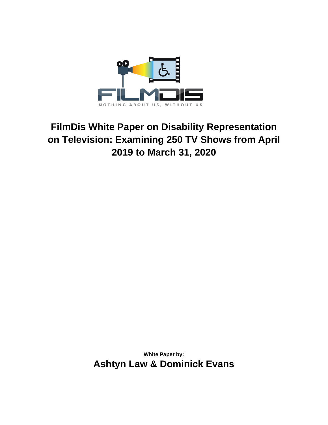

# **FilmDis White Paper on Disability Representation on Television: Examining 250 TV Shows from April 2019 to March 31, 2020**

**White Paper by: Ashtyn Law & Dominick Evans**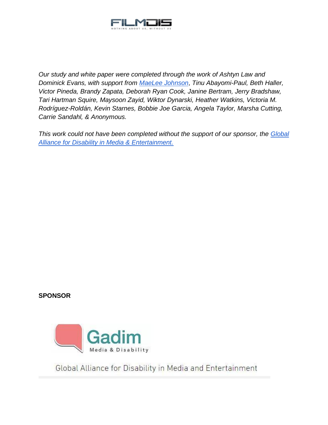

*Our study and white paper were completed through the work of Ashtyn Law and Dominick Evans, with support from [MaeLee Johnson](https://twitter.com/Mae_DayJ)*, *Tinu Abayomi-Paul, Beth Haller, Victor Pineda, Brandy Zapata, Deborah Ryan Cook, Janine Bertram, Jerry Bradshaw, Tari Hartman Squire, Maysoon Zayid, Wiktor Dynarski, Heather Watkins, Victoria M. Rodríguez-Roldán, Kevin Starnes, Bobbie Joe Garcia, Angela Taylor, Marsha Cutting, Carrie Sandahl, & Anonymous.*

*This work could not have been completed without the support of our sponsor, the [Global](https://www.gadim.org/)  [Alliance for Disability in Media & Entertainment.](https://www.gadim.org/)*

#### **SPONSOR**



Global Alliance for Disability in Media and Entertainment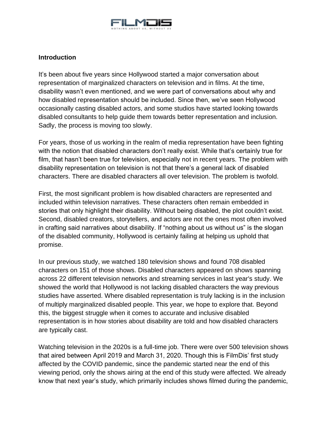

## **Introduction**

It's been about five years since Hollywood started a major conversation about representation of marginalized characters on television and in films. At the time, disability wasn't even mentioned, and we were part of conversations about why and how disabled representation should be included. Since then, we've seen Hollywood occasionally casting disabled actors, and some studios have started looking towards disabled consultants to help guide them towards better representation and inclusion. Sadly, the process is moving too slowly.

For years, those of us working in the realm of media representation have been fighting with the notion that disabled characters don't really exist. While that's certainly true for film, that hasn't been true for television, especially not in recent years. The problem with disability representation on television is not that there's a general lack of disabled characters. There are disabled characters all over television. The problem is twofold.

First, the most significant problem is how disabled characters are represented and included within television narratives. These characters often remain embedded in stories that only highlight their disability. Without being disabled, the plot couldn't exist. Second, disabled creators, storytellers, and actors are not the ones most often involved in crafting said narratives about disability. If "nothing about us without us" is the slogan of the disabled community, Hollywood is certainly failing at helping us uphold that promise.

In our previous study, we watched 180 television shows and found 708 disabled characters on 151 of those shows. Disabled characters appeared on shows spanning across 22 different television networks and streaming services in last year's study. We showed the world that Hollywood is not lacking disabled characters the way previous studies have asserted. Where disabled representation is truly lacking is in the inclusion of multiply marginalized disabled people. This year, we hope to explore that. Beyond this, the biggest struggle when it comes to accurate and inclusive disabled representation is in how stories about disability are told and how disabled characters are typically cast.

Watching television in the 2020s is a full-time job. There were over 500 television shows that aired between April 2019 and March 31, 2020. Though this is FilmDis' first study affected by the COVID pandemic, since the pandemic started near the end of this viewing period, only the shows airing at the end of this study were affected. We already know that next year's study, which primarily includes shows filmed during the pandemic,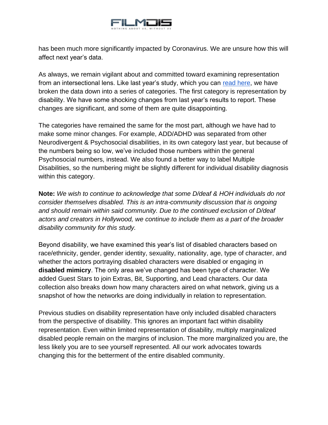

has been much more significantly impacted by Coronavirus. We are unsure how this will affect next year's data.

As always, we remain vigilant about and committed toward examining representation from an intersectional lens. Like last year's study, which you can [read here,](https://docs.google.com/document/d/1NESEpO4WuN3h6o1V3E-PPQkiFAY0fiC-Q80kKNlTQAI/edit) we have broken the data down into a series of categories. The first category is representation by disability. We have some shocking changes from last year's results to report. These changes are significant, and some of them are quite disappointing.

The categories have remained the same for the most part, although we have had to make some minor changes. For example, ADD/ADHD was separated from other Neurodivergent & Psychosocial disabilities, in its own category last year, but because of the numbers being so low, we've included those numbers within the general Psychosocial numbers, instead. We also found a better way to label Multiple Disabilities, so the numbering might be slightly different for individual disability diagnosis within this category.

**Note:** *We wish to continue to acknowledge that some D/deaf & HOH individuals do not consider themselves disabled. This is an intra-community discussion that is ongoing and should remain within said community. Due to the continued exclusion of D/deaf actors and creators in Hollywood, we continue to include them as a part of the broader disability community for this study.*

Beyond disability, we have examined this year's list of disabled characters based on race/ethnicity, gender, gender identity, sexuality, nationality, age, type of character, and whether the actors portraying disabled characters were disabled or engaging in **disabled mimicry**. The only area we've changed has been type of character. We added Guest Stars to join Extras, Bit, Supporting, and Lead characters. Our data collection also breaks down how many characters aired on what network, giving us a snapshot of how the networks are doing individually in relation to representation.

Previous studies on disability representation have only included disabled characters from the perspective of disability. This ignores an important fact within disability representation. Even within limited representation of disability, multiply marginalized disabled people remain on the margins of inclusion. The more marginalized you are, the less likely you are to see yourself represented. All our work advocates towards changing this for the betterment of the entire disabled community.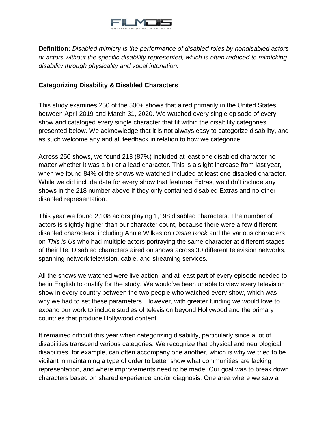

**Definition:** *Disabled mimicry is the performance of disabled roles by nondisabled actors or actors without the specific disability represented, which is often reduced to mimicking disability through physicality and vocal intonation.* 

## **Categorizing Disability & Disabled Characters**

This study examines 250 of the 500+ shows that aired primarily in the United States between April 2019 and March 31, 2020. We watched every single episode of every show and cataloged every single character that fit within the disability categories presented below. We acknowledge that it is not always easy to categorize disability, and as such welcome any and all feedback in relation to how we categorize.

Across 250 shows, we found 218 (87%) included at least one disabled character no matter whether it was a bit or a lead character. This is a slight increase from last year, when we found 84% of the shows we watched included at least one disabled character. While we did include data for every show that features Extras, we didn't include any shows in the 218 number above If they only contained disabled Extras and no other disabled representation.

This year we found 2,108 actors playing 1,198 disabled characters. The number of actors is slightly higher than our character count, because there were a few different disabled characters, including Annie Wilkes on *Castle Rock* and the various characters on *This is Us* who had multiple actors portraying the same character at different stages of their life. Disabled characters aired on shows across 30 different television networks, spanning network television, cable, and streaming services.

All the shows we watched were live action, and at least part of every episode needed to be in English to qualify for the study. We would've been unable to view every television show in every country between the two people who watched every show, which was why we had to set these parameters. However, with greater funding we would love to expand our work to include studies of television beyond Hollywood and the primary countries that produce Hollywood content.

It remained difficult this year when categorizing disability, particularly since a lot of disabilities transcend various categories. We recognize that physical and neurological disabilities, for example, can often accompany one another, which is why we tried to be vigilant in maintaining a type of order to better show what communities are lacking representation, and where improvements need to be made. Our goal was to break down characters based on shared experience and/or diagnosis. One area where we saw a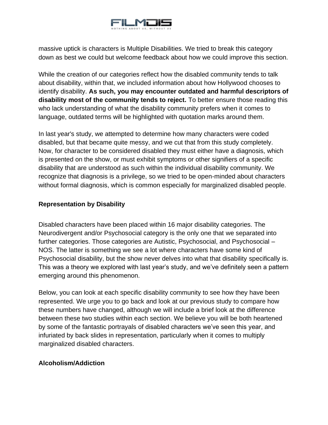

massive uptick is characters is Multiple Disabilities. We tried to break this category down as best we could but welcome feedback about how we could improve this section.

While the creation of our categories reflect how the disabled community tends to talk about disability, within that, we included information about how Hollywood chooses to identify disability. **As such, you may encounter outdated and harmful descriptors of disability most of the community tends to reject.** To better ensure those reading this who lack understanding of what the disability community prefers when it comes to language, outdated terms will be highlighted with quotation marks around them.

In last year's study, we attempted to determine how many characters were coded disabled, but that became quite messy, and we cut that from this study completely. Now, for character to be considered disabled they must either have a diagnosis, which is presented on the show, or must exhibit symptoms or other signifiers of a specific disability that are understood as such within the individual disability community. We recognize that diagnosis is a privilege, so we tried to be open-minded about characters without formal diagnosis, which is common especially for marginalized disabled people.

#### **Representation by Disability**

Disabled characters have been placed within 16 major disability categories. The Neurodivergent and/or Psychosocial category is the only one that we separated into further categories. Those categories are Autistic, Psychosocial, and Psychosocial – NOS. The latter is something we see a lot where characters have some kind of Psychosocial disability, but the show never delves into what that disability specifically is. This was a theory we explored with last year's study, and we've definitely seen a pattern emerging around this phenomenon.

Below, you can look at each specific disability community to see how they have been represented. We urge you to go back and look at our previous study to compare how these numbers have changed, although we will include a brief look at the difference between these two studies within each section. We believe you will be both heartened by some of the fantastic portrayals of disabled characters we've seen this year, and infuriated by back slides in representation, particularly when it comes to multiply marginalized disabled characters.

#### **Alcoholism/Addiction**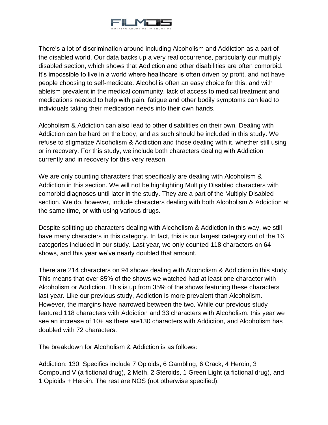

There's a lot of discrimination around including Alcoholism and Addiction as a part of the disabled world. Our data backs up a very real occurrence, particularly our multiply disabled section, which shows that Addiction and other disabilities are often comorbid. It's impossible to live in a world where healthcare is often driven by profit, and not have people choosing to self-medicate. Alcohol is often an easy choice for this, and with ableism prevalent in the medical community, lack of access to medical treatment and medications needed to help with pain, fatigue and other bodily symptoms can lead to individuals taking their medication needs into their own hands.

Alcoholism & Addiction can also lead to other disabilities on their own. Dealing with Addiction can be hard on the body, and as such should be included in this study. We refuse to stigmatize Alcoholism & Addiction and those dealing with it, whether still using or in recovery. For this study, we include both characters dealing with Addiction currently and in recovery for this very reason.

We are only counting characters that specifically are dealing with Alcoholism & Addiction in this section. We will not be highlighting Multiply Disabled characters with comorbid diagnoses until later in the study. They are a part of the Multiply Disabled section. We do, however, include characters dealing with both Alcoholism & Addiction at the same time, or with using various drugs.

Despite splitting up characters dealing with Alcoholism & Addiction in this way, we still have many characters in this category. In fact, this is our largest category out of the 16 categories included in our study. Last year, we only counted 118 characters on 64 shows, and this year we've nearly doubled that amount.

There are 214 characters on 94 shows dealing with Alcoholism & Addiction in this study. This means that over 85% of the shows we watched had at least one character with Alcoholism or Addiction. This is up from 35% of the shows featuring these characters last year. Like our previous study, Addiction is more prevalent than Alcoholism. However, the margins have narrowed between the two. While our previous study featured 118 characters with Addiction and 33 characters with Alcoholism, this year we see an increase of 10+ as there are130 characters with Addiction, and Alcoholism has doubled with 72 characters.

The breakdown for Alcoholism & Addiction is as follows:

Addiction: 130: Specifics include 7 Opioids, 6 Gambling, 6 Crack, 4 Heroin, 3 Compound V (a fictional drug), 2 Meth, 2 Steroids, 1 Green Light (a fictional drug), and 1 Opioids + Heroin. The rest are NOS (not otherwise specified).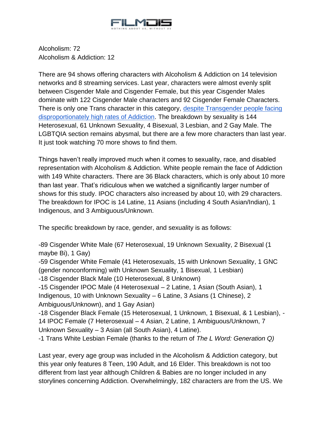

Alcoholism: 72 Alcoholism & Addiction: 12

There are 94 shows offering characters with Alcoholism & Addiction on 14 television networks and 8 streaming services. Last year, characters were almost evenly split between Cisgender Male and Cisgender Female, but this year Cisgender Males dominate with 122 Cisgender Male characters and 92 Cisgender Female Characters. There is only one Trans character in this category, despite Transgender people facing [disproportionately high rates of Addiction.](https://www.drugabuse.gov/drug-topics/substance-use-suds-in-lgbtq-populations) The breakdown by sexuality is 144 Heterosexual, 61 Unknown Sexuality, 4 Bisexual, 3 Lesbian, and 2 Gay Male. The LGBTQIA section remains abysmal, but there are a few more characters than last year. It just took watching 70 more shows to find them.

Things haven't really improved much when it comes to sexuality, race, and disabled representation with Alcoholism & Addiction. White people remain the face of Addiction with 149 White characters. There are 36 Black characters, which is only about 10 more than last year. That's ridiculous when we watched a significantly larger number of shows for this study. IPOC characters also increased by about 10, with 29 characters. The breakdown for IPOC is 14 Latine, 11 Asians (including 4 South Asian/Indian), 1 Indigenous, and 3 Ambiguous/Unknown.

The specific breakdown by race, gender, and sexuality is as follows:

-89 Cisgender White Male (67 Heterosexual, 19 Unknown Sexuality, 2 Bisexual (1 maybe Bi), 1 Gay)

-59 Cisgender White Female (41 Heterosexuals, 15 with Unknown Sexuality, 1 GNC (gender nonconforming) with Unknown Sexuality, 1 Bisexual, 1 Lesbian)

-18 Cisgender Black Male (10 Heterosexual, 8 Unknown)

-15 Cisgender IPOC Male (4 Heterosexual – 2 Latine, 1 Asian (South Asian), 1 Indigenous, 10 with Unknown Sexuality – 6 Latine, 3 Asians (1 Chinese), 2 Ambiguous/Unknown), and 1 Gay Asian)

-18 Cisgender Black Female (15 Heterosexual, 1 Unknown, 1 Bisexual, & 1 Lesbian), - 14 IPOC Female (7 Heterosexual – 4 Asian, 2 Latine, 1 Ambiguous/Unknown, 7 Unknown Sexuality – 3 Asian (all South Asian), 4 Latine).

-1 Trans White Lesbian Female (thanks to the return of *The L Word: Generation Q)*

Last year, every age group was included in the Alcoholism & Addiction category, but this year only features 8 Teen, 190 Adult, and 16 Elder. This breakdown is not too different from last year although Children & Babies are no longer included in any storylines concerning Addiction. Overwhelmingly, 182 characters are from the US. We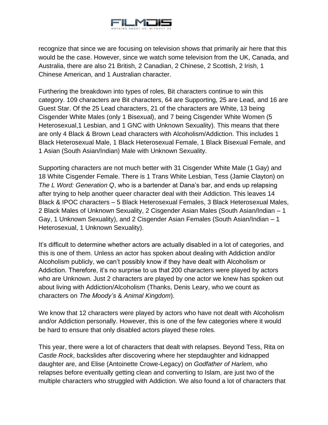

recognize that since we are focusing on television shows that primarily air here that this would be the case. However, since we watch some television from the UK, Canada, and Australia, there are also 21 British, 2 Canadian, 2 Chinese, 2 Scottish, 2 Irish, 1 Chinese American, and 1 Australian character.

Furthering the breakdown into types of roles, Bit characters continue to win this category. 109 characters are Bit characters, 64 are Supporting, 25 are Lead, and 16 are Guest Star. Of the 25 Lead characters, 21 of the characters are White, 13 being Cisgender White Males (only 1 Bisexual), and 7 being Cisgender White Women (5 Heterosexual,1 Lesbian, and 1 GNC with Unknown Sexuality). This means that there are only 4 Black & Brown Lead characters with Alcoholism/Addiction. This includes 1 Black Heterosexual Male, 1 Black Heterosexual Female, 1 Black Bisexual Female, and 1 Asian (South Asian/Indian) Male with Unknown Sexuality.

Supporting characters are not much better with 31 Cisgender White Male (1 Gay) and 18 White Cisgender Female. There is 1 Trans White Lesbian, Tess (Jamie Clayton) on *The L Word: Generation Q*, who is a bartender at Dana's bar, and ends up relapsing after trying to help another queer character deal with their Addiction. This leaves 14 Black & IPOC characters – 5 Black Heterosexual Females, 3 Black Heterosexual Males, 2 Black Males of Unknown Sexuality, 2 Cisgender Asian Males (South Asian/Indian – 1 Gay, 1 Unknown Sexuality), and 2 Cisgender Asian Females (South Asian/Indian – 1 Heterosexual, 1 Unknown Sexuality).

It's difficult to determine whether actors are actually disabled in a lot of categories, and this is one of them. Unless an actor has spoken about dealing with Addiction and/or Alcoholism publicly, we can't possibly know if they have dealt with Alcoholism or Addiction. Therefore, it's no surprise to us that 200 characters were played by actors who are Unknown. Just 2 characters are played by one actor we knew has spoken out about living with Addiction/Alcoholism (Thanks, Denis Leary, who we count as characters on *The Moody's* & *Animal Kingdom*).

We know that 12 characters were played by actors who have not dealt with Alcoholism and/or Addiction personally. However, this is one of the few categories where it would be hard to ensure that only disabled actors played these roles.

This year, there were a lot of characters that dealt with relapses. Beyond Tess, Rita on *Castle Rock*, backslides after discovering where her stepdaughter and kidnapped daughter are, and Elise (Antoinette Crowe-Legacy) on *Godfather of Harlem*, who relapses before eventually getting clean and converting to Islam, are just two of the multiple characters who struggled with Addiction. We also found a lot of characters that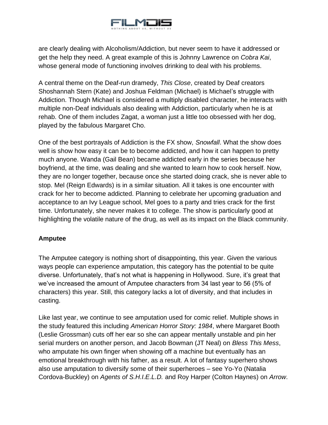

are clearly dealing with Alcoholism/Addiction, but never seem to have it addressed or get the help they need. A great example of this is Johnny Lawrence on *Cobra Kai*, whose general mode of functioning involves drinking to deal with his problems.

A central theme on the Deaf-run dramedy, *This Close*, created by Deaf creators Shoshannah Stern (Kate) and Joshua Feldman (Michael) is Michael's struggle with Addiction. Though Michael is considered a multiply disabled character, he interacts with multiple non-Deaf individuals also dealing with Addiction, particularly when he is at rehab. One of them includes Zagat, a woman just a little too obsessed with her dog, played by the fabulous Margaret Cho.

One of the best portrayals of Addiction is the FX show, *Snowfall*. What the show does well is show how easy it can be to become addicted, and how it can happen to pretty much anyone. Wanda (Gail Bean) became addicted early in the series because her boyfriend, at the time, was dealing and she wanted to learn how to cook herself. Now, they are no longer together, because once she started doing crack, she is never able to stop. Mel (Reign Edwards) is in a similar situation. All it takes is one encounter with crack for her to become addicted. Planning to celebrate her upcoming graduation and acceptance to an Ivy League school, Mel goes to a party and tries crack for the first time. Unfortunately, she never makes it to college. The show is particularly good at highlighting the volatile nature of the drug, as well as its impact on the Black community.

#### **Amputee**

The Amputee category is nothing short of disappointing, this year. Given the various ways people can experience amputation, this category has the potential to be quite diverse. Unfortunately, that's not what is happening in Hollywood. Sure, it's great that we've increased the amount of Amputee characters from 34 last year to 56 (5% of characters) this year. Still, this category lacks a lot of diversity, and that includes in casting.

Like last year, we continue to see amputation used for comic relief. Multiple shows in the study featured this including *American Horror Story: 1984*, where Margaret Booth (Leslie Grossman) cuts off her ear so she can appear mentally unstable and pin her serial murders on another person, and Jacob Bowman (JT Neal) on *Bless This Mess*, who amputate his own finger when showing off a machine but eventually has an emotional breakthrough with his father, as a result. A lot of fantasy superhero shows also use amputation to diversify some of their superheroes – see Yo-Yo (Natalia Cordova-Buckley) on *Agents of S.H.I.E.L.D.* and Roy Harper (Colton Haynes) on *Arrow*.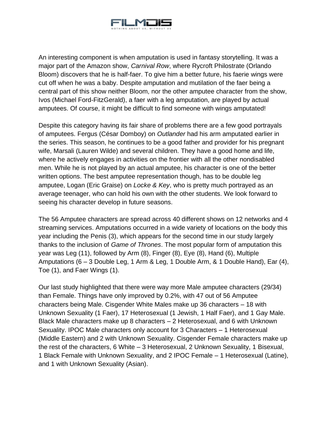

An interesting component is when amputation is used in fantasy storytelling. It was a major part of the Amazon show, *Carnival Row*, where Rycroft Philostrate (Orlando Bloom) discovers that he is half-faer. To give him a better future, his faerie wings were cut off when he was a baby. Despite amputation and mutilation of the faer being a central part of this show neither Bloom, nor the other amputee character from the show, Ivos (Michael Ford-FitzGerald), a faer with a leg amputation, are played by actual amputees. Of course, it might be difficult to find someone with wings amputated!

Despite this category having its fair share of problems there are a few good portrayals of amputees. Fergus (César Domboy) on *Outlander* had his arm amputated earlier in the series. This season, he continues to be a good father and provider for his pregnant wife, Marsali (Lauren Wilde) and several children. They have a good home and life, where he actively engages in activities on the frontier with all the other nondisabled men. While he is not played by an actual amputee, his character is one of the better written options. The best amputee representation though, has to be double leg amputee, Logan (Eric Graise) on *Locke & Key*, who is pretty much portrayed as an average teenager, who can hold his own with the other students. We look forward to seeing his character develop in future seasons.

The 56 Amputee characters are spread across 40 different shows on 12 networks and 4 streaming services. Amputations occurred in a wide variety of locations on the body this year including the Penis (3), which appears for the second time in our study largely thanks to the inclusion of *Game of Thrones*. The most popular form of amputation this year was Leg (11), followed by Arm (8), Finger (8), Eye (8), Hand (6), Multiple Amputations (6 – 3 Double Leg, 1 Arm & Leg, 1 Double Arm, & 1 Double Hand), Ear (4), Toe (1), and Faer Wings (1).

Our last study highlighted that there were way more Male amputee characters (29/34) than Female. Things have only improved by 0.2%, with 47 out of 56 Amputee characters being Male. Cisgender White Males make up 36 characters – 18 with Unknown Sexuality (1 Faer), 17 Heterosexual (1 Jewish, 1 Half Faer), and 1 Gay Male. Black Male characters make up 8 characters – 2 Heterosexual, and 6 with Unknown Sexuality. IPOC Male characters only account for 3 Characters – 1 Heterosexual (Middle Eastern) and 2 with Unknown Sexuality. Cisgender Female characters make up the rest of the characters, 6 White – 3 Heterosexual, 2 Unknown Sexuality, 1 Bisexual, 1 Black Female with Unknown Sexuality, and 2 IPOC Female – 1 Heterosexual (Latine), and 1 with Unknown Sexuality (Asian).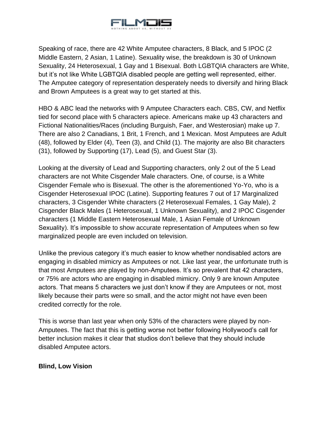

Speaking of race, there are 42 White Amputee characters, 8 Black, and 5 IPOC (2 Middle Eastern, 2 Asian, 1 Latine). Sexuality wise, the breakdown is 30 of Unknown Sexuality, 24 Heterosexual, 1 Gay and 1 Bisexual. Both LGBTQIA characters are White, but it's not like White LGBTQIA disabled people are getting well represented, either. The Amputee category of representation desperately needs to diversify and hiring Black and Brown Amputees is a great way to get started at this.

HBO & ABC lead the networks with 9 Amputee Characters each. CBS, CW, and Netflix tied for second place with 5 characters apiece. Americans make up 43 characters and Fictional Nationalities/Races (including Burguish, Faer, and Westerosian) make up 7. There are also 2 Canadians, 1 Brit, 1 French, and 1 Mexican. Most Amputees are Adult (48), followed by Elder (4), Teen (3), and Child (1). The majority are also Bit characters (31), followed by Supporting (17), Lead (5), and Guest Star (3).

Looking at the diversity of Lead and Supporting characters, only 2 out of the 5 Lead characters are not White Cisgender Male characters. One, of course, is a White Cisgender Female who is Bisexual. The other is the aforementioned Yo-Yo, who is a Cisgender Heterosexual IPOC (Latine). Supporting features 7 out of 17 Marginalized characters, 3 Cisgender White characters (2 Heterosexual Females, 1 Gay Male), 2 Cisgender Black Males (1 Heterosexual, 1 Unknown Sexuality), and 2 IPOC Cisgender characters (1 Middle Eastern Heterosexual Male, 1 Asian Female of Unknown Sexuality). It's impossible to show accurate representation of Amputees when so few marginalized people are even included on television.

Unlike the previous category it's much easier to know whether nondisabled actors are engaging in disabled mimicry as Amputees or not. Like last year, the unfortunate truth is that most Amputees are played by non-Amputees. It's so prevalent that 42 characters, or 75% are actors who are engaging in disabled mimicry. Only 9 are known Amputee actors. That means 5 characters we just don't know if they are Amputees or not, most likely because their parts were so small, and the actor might not have even been credited correctly for the role.

This is worse than last year when only 53% of the characters were played by non-Amputees. The fact that this is getting worse not better following Hollywood's call for better inclusion makes it clear that studios don't believe that they should include disabled Amputee actors.

#### **Blind, Low Vision**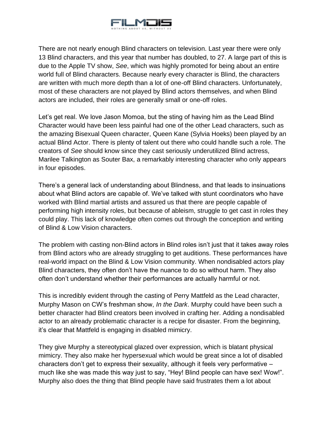

There are not nearly enough Blind characters on television. Last year there were only 13 Blind characters, and this year that number has doubled, to 27. A large part of this is due to the Apple TV show, *See*, which was highly promoted for being about an entire world full of Blind characters. Because nearly every character is Blind, the characters are written with much more depth than a lot of one-off Blind characters. Unfortunately, most of these characters are not played by Blind actors themselves, and when Blind actors are included, their roles are generally small or one-off roles.

Let's get real. We love Jason Momoa, but the sting of having him as the Lead Blind Character would have been less painful had one of the other Lead characters, such as the amazing Bisexual Queen character, Queen Kane (Sylvia Hoeks) been played by an actual Blind Actor. There is plenty of talent out there who could handle such a role. The creators of *See* should know since they cast seriously underutilized Blind actress, Marilee Talkington as Souter Bax, a remarkably interesting character who only appears in four episodes.

There's a general lack of understanding about Blindness, and that leads to insinuations about what Blind actors are capable of. We've talked with stunt coordinators who have worked with Blind martial artists and assured us that there are people capable of performing high intensity roles, but because of ableism, struggle to get cast in roles they could play. This lack of knowledge often comes out through the conception and writing of Blind & Low Vision characters.

The problem with casting non-Blind actors in Blind roles isn't just that it takes away roles from Blind actors who are already struggling to get auditions. These performances have real-world impact on the Blind & Low Vision community. When nondisabled actors play Blind characters, they often don't have the nuance to do so without harm. They also often don't understand whether their performances are actually harmful or not.

This is incredibly evident through the casting of Perry Mattfeld as the Lead character, Murphy Mason on CW's freshman show, *In the Dark*. Murphy could have been such a better character had Blind creators been involved in crafting her. Adding a nondisabled actor to an already problematic character is a recipe for disaster. From the beginning, it's clear that Mattfeld is engaging in disabled mimicry.

They give Murphy a stereotypical glazed over expression, which is blatant physical mimicry. They also make her hypersexual which would be great since a lot of disabled characters don't get to express their sexuality, although it feels very performative – much like she was made this way just to say, "Hey! Blind people can have sex! Wow!". Murphy also does the thing that Blind people have said frustrates them a lot about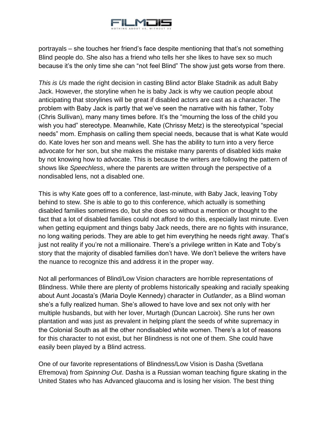

portrayals – she touches her friend's face despite mentioning that that's not something Blind people do. She also has a friend who tells her she likes to have sex so much because it's the only time she can "not feel Blind" The show just gets worse from there.

*This is Us* made the right decision in casting Blind actor Blake Stadnik as adult Baby Jack. However, the storyline when he is baby Jack is why we caution people about anticipating that storylines will be great if disabled actors are cast as a character. The problem with Baby Jack is partly that we've seen the narrative with his father, Toby (Chris Sullivan), many many times before. It's the "mourning the loss of the child you wish you had" stereotype. Meanwhile, Kate (Chrissy Metz) is the stereotypical "special needs" mom. Emphasis on calling them special needs, because that is what Kate would do. Kate loves her son and means well. She has the ability to turn into a very fierce advocate for her son, but she makes the mistake many parents of disabled kids make by not knowing how to advocate. This is because the writers are following the pattern of shows like *Speechless*, where the parents are written through the perspective of a nondisabled lens, not a disabled one.

This is why Kate goes off to a conference, last-minute, with Baby Jack, leaving Toby behind to stew. She is able to go to this conference, which actually is something disabled families sometimes do, but she does so without a mention or thought to the fact that a lot of disabled families could not afford to do this, especially last minute. Even when getting equipment and things baby Jack needs, there are no fights with insurance, no long waiting periods. They are able to get him everything he needs right away. That's just not reality if you're not a millionaire. There's a privilege written in Kate and Toby's story that the majority of disabled families don't have. We don't believe the writers have the nuance to recognize this and address it in the proper way.

Not all performances of Blind/Low Vision characters are horrible representations of Blindness. While there are plenty of problems historically speaking and racially speaking about Aunt Jocasta's (Maria Doyle Kennedy) character in *Outlander*, as a Blind woman she's a fully realized human. She's allowed to have love and sex not only with her multiple husbands, but with her lover, Murtagh (Duncan Lacroix). She runs her own plantation and was just as prevalent in helping plant the seeds of white supremacy in the Colonial South as all the other nondisabled white women. There's a lot of reasons for this character to not exist, but her Blindness is not one of them. She could have easily been played by a Blind actress.

One of our favorite representations of Blindness/Low Vision is Dasha (Svetlana Efremova) from *Spinning Out*. Dasha is a Russian woman teaching figure skating in the United States who has Advanced glaucoma and is losing her vision. The best thing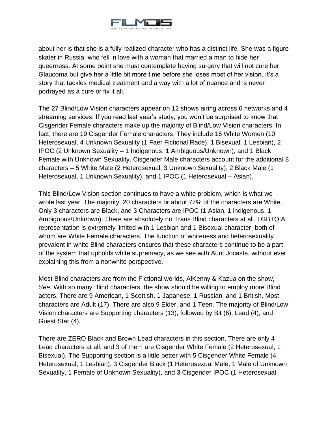

about her is that she is a fully realized character who has a distinct life. She was a figure skater in Russia, who fell in love with a woman that married a man to hide her queerness. At some point she must contemplate having surgery that will not cure her Glaucoma but give her a little bit more time before she loses most of her vision. It's a story that tackles medical treatment and a way with a lot of nuance and is never portrayed as a cure or fix it all.

The 27 Blind/Low Vision characters appear on 12 shows airing across 6 networks and 4 streaming services. If you read last year's study, you won't be surprised to know that Cisgender Female characters make up the majority of Blind/Low Vision characters. In fact, there are 19 Cisgender Female characters. They include 16 White Women (10 Heterosexual, 4 Unknown Sexuality (1 Faer Fictional Race), 1 Bisexual, 1 Lesbian), 2 IPOC (2 Unknown Sexuality – 1 Indigenous, 1 Ambiguous/Unknown), and 1 Black Female with Unknown Sexuality. Cisgender Male characters account for the additional 8 characters – 5 White Male (2 Heterosexual, 3 Unknown Sexuality), 2 Black Male (1 Heterosexual, 1 Unknown Sexuality), and 1 IPOC (1 Heterosexual – Asian).

This Blind/Low Vision section continues to have a white problem, which is what we wrote last year. The majority, 20 characters or about 77% of the characters are White. Only 3 characters are Black, and 3 Characters are IPOC (1 Asian, 1 indigenous, 1 Ambiguous/Unknown). There are absolutely no Trans Blind characters at all. LGBTQIA representation is extremely limited with 1 Lesbian and 1 Bisexual character, both of whom are White Female characters. The function of whiteness and heterosexuality prevalent in white Blind characters ensures that these characters continue to be a part of the system that upholds white supremacy, as we see with Aunt Jocasta, without ever explaining this from a nonwhite perspective.

Most Blind characters are from the Fictional worlds, AlKenny & Kazua on the show, *See*. With so many Blind characters, the show should be willing to employ more Blind actors. There are 9 American, 1 Scottish, 1 Japanese, 1 Russian, and 1 British. Most characters are Adult (17). There are also 9 Elder, and 1 Teen. The majority of Blind/Low Vision characters are Supporting characters (13), followed by Bit (6), Lead (4), and Guest Star (4).

There are ZERO Black and Brown Lead characters in this section. There are only 4 Lead characters at all, and 3 of them are Cisgender White Female (2 Heterosexual, 1 Bisexual). The Supporting section is a little better with 5 Cisgender White Female (4 Heterosexual, 1 Lesbian), 3 Cisgender Black (1 Heterosexual Male, 1 Male of Unknown Sexuality, 1 Female of Unknown Sexuality), and 3 Cisgender IPOC (1 Heterosexual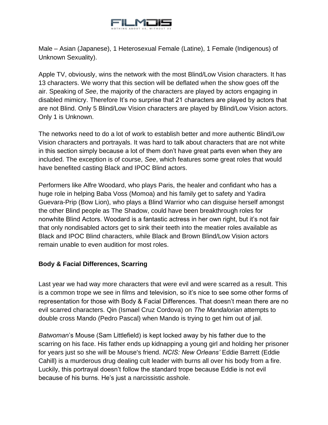

Male – Asian (Japanese), 1 Heterosexual Female (Latine), 1 Female (Indigenous) of Unknown Sexuality).

Apple TV, obviously, wins the network with the most Blind/Low Vision characters. It has 13 characters. We worry that this section will be deflated when the show goes off the air. Speaking of *See*, the majority of the characters are played by actors engaging in disabled mimicry. Therefore It's no surprise that 21 characters are played by actors that are not Blind. Only 5 Blind/Low Vision characters are played by Blind/Low Vision actors. Only 1 is Unknown.

The networks need to do a lot of work to establish better and more authentic Blind/Low Vision characters and portrayals. It was hard to talk about characters that are not white in this section simply because a lot of them don't have great parts even when they are included. The exception is of course, *See*, which features some great roles that would have benefited casting Black and IPOC Blind actors.

Performers like Alfre Woodard, who plays Paris, the healer and confidant who has a huge role in helping Baba Voss (Momoa) and his family get to safety and Yadira Guevara-Prip (Bow Lion), who plays a Blind Warrior who can disguise herself amongst the other Blind people as The Shadow, could have been breakthrough roles for nonwhite Blind Actors. Woodard is a fantastic actress in her own right, but it's not fair that only nondisabled actors get to sink their teeth into the meatier roles available as Black and IPOC Blind characters, while Black and Brown Blind/Low Vision actors remain unable to even audition for most roles.

#### **Body & Facial Differences, Scarring**

Last year we had way more characters that were evil and were scarred as a result. This is a common trope we see in films and television, so it's nice to see some other forms of representation for those with Body & Facial Differences. That doesn't mean there are no evil scarred characters. Qin (Ismael Cruz Cordova) on *The Mandalorian* attempts to double cross Mando (Pedro Pascal) when Mando is trying to get him out of jail.

*Batwoman*'s Mouse (Sam Littlefield) is kept locked away by his father due to the scarring on his face. His father ends up kidnapping a young girl and holding her prisoner for years just so she will be Mouse's friend. *NCIS: New Orleans'* Eddie Barrett (Eddie Cahill) is a murderous drug dealing cult leader with burns all over his body from a fire. Luckily, this portrayal doesn't follow the standard trope because Eddie is not evil because of his burns. He's just a narcissistic asshole.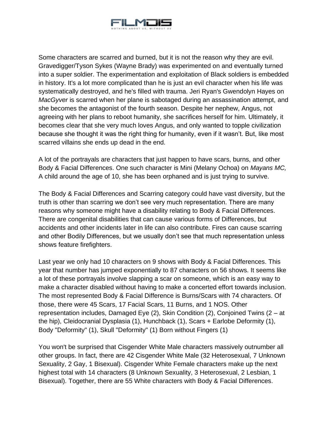

Some characters are scarred and burned, but it is not the reason why they are evil. Gravedigger/Tyson Sykes (Wayne Brady) was experimented on and eventually turned into a super soldier. The experimentation and exploitation of Black soldiers is embedded in history. It's a lot more complicated than he is just an evil character when his life was systematically destroyed, and he's filled with trauma. Jeri Ryan's Gwendolyn Hayes on *MacGyver* is scarred when her plane is sabotaged during an assassination attempt, and she becomes the antagonist of the fourth season. Despite her nephew, Angus, not agreeing with her plans to reboot humanity, she sacrifices herself for him. Ultimately, it becomes clear that she very much loves Angus, and only wanted to topple civilization because she thought it was the right thing for humanity, even if it wasn't. But, like most scarred villains she ends up dead in the end.

A lot of the portrayals are characters that just happen to have scars, burns, and other Body & Facial Differences. One such character is Mini (Melany Ochoa) on *Mayans MC,* A child around the age of 10, she has been orphaned and is just trying to survive.

The Body & Facial Differences and Scarring category could have vast diversity, but the truth is other than scarring we don't see very much representation. There are many reasons why someone might have a disability relating to Body & Facial Differences. There are congenital disabilities that can cause various forms of Differences, but accidents and other incidents later in life can also contribute. Fires can cause scarring and other Bodily Differences, but we usually don't see that much representation unless shows feature firefighters.

Last year we only had 10 characters on 9 shows with Body & Facial Differences. This year that number has jumped exponentially to 87 characters on 56 shows. It seems like a lot of these portrayals involve slapping a scar on someone, which is an easy way to make a character disabled without having to make a concerted effort towards inclusion. The most represented Body & Facial Difference is Burns/Scars with 74 characters. Of those, there were 45 Scars, 17 Facial Scars, 11 Burns, and 1 NOS. Other representation includes, Damaged Eye (2), Skin Condition (2), Conjoined Twins (2 – at the hip), Cleidocranial Dysplasia (1), Hunchback (1), Scars + Earlobe Deformity (1), Body "Deformity" (1), Skull "Deformity" (1) Born without Fingers (1)

You won't be surprised that Cisgender White Male characters massively outnumber all other groups. In fact, there are 42 Cisgender White Male (32 Heterosexual, 7 Unknown Sexuality, 2 Gay, 1 Bisexual). Cisgender White Female characters make up the next highest total with 14 characters (8 Unknown Sexuality, 3 Heterosexual, 2 Lesbian, 1 Bisexual). Together, there are 55 White characters with Body & Facial Differences.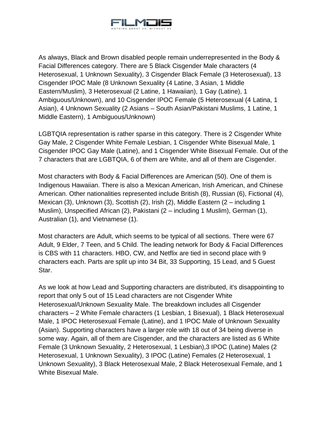

As always, Black and Brown disabled people remain underrepresented in the Body & Facial Differences category. There are 5 Black Cisgender Male characters (4 Heterosexual, 1 Unknown Sexuality), 3 Cisgender Black Female (3 Heterosexual), 13 Cisgender IPOC Male (8 Unknown Sexuality (4 Latine, 3 Asian, 1 Middle Eastern/Muslim), 3 Heterosexual (2 Latine, 1 Hawaiian), 1 Gay (Latine), 1 Ambiguous/Unknown), and 10 Cisgender IPOC Female (5 Heterosexual (4 Latina, 1 Asian), 4 Unknown Sexuality (2 Asians – South Asian/Pakistani Muslims, 1 Latine, 1 Middle Eastern), 1 Ambiguous/Unknown)

LGBTQIA representation is rather sparse in this category. There is 2 Cisgender White Gay Male, 2 Cisgender White Female Lesbian, 1 Cisgender White Bisexual Male, 1 Cisgender IPOC Gay Male (Latine), and 1 Cisgender White Bisexual Female. Out of the 7 characters that are LGBTQIA, 6 of them are White, and all of them are Cisgender.

Most characters with Body & Facial Differences are American (50). One of them is Indigenous Hawaiian. There is also a Mexican American, Irish American, and Chinese American. Other nationalities represented include British (8), Russian (6), Fictional (4), Mexican (3), Unknown (3), Scottish (2), Irish (2), Middle Eastern (2 – including 1 Muslim), Unspecified African (2), Pakistani (2 – including 1 Muslim), German (1), Australian (1), and Vietnamese (1).

Most characters are Adult, which seems to be typical of all sections. There were 67 Adult, 9 Elder, 7 Teen, and 5 Child. The leading network for Body & Facial Differences is CBS with 11 characters. HBO, CW, and Netflix are tied in second place with 9 characters each. Parts are split up into 34 Bit, 33 Supporting, 15 Lead, and 5 Guest Star.

As we look at how Lead and Supporting characters are distributed, it's disappointing to report that only 5 out of 15 Lead characters are not Cisgender White Heterosexual/Unknown Sexuality Male. The breakdown includes all Cisgender characters – 2 White Female characters (1 Lesbian, 1 Bisexual), 1 Black Heterosexual Male, 1 IPOC Heterosexual Female (Latine), and 1 IPOC Male of Unknown Sexuality (Asian). Supporting characters have a larger role with 18 out of 34 being diverse in some way. Again, all of them are Cisgender, and the characters are listed as 6 White Female (3 Unknown Sexuality, 2 Heterosexual, 1 Lesbian),3 IPOC (Latine) Males (2 Heterosexual, 1 Unknown Sexuality), 3 IPOC (Latine) Females (2 Heterosexual, 1 Unknown Sexuality), 3 Black Heterosexual Male, 2 Black Heterosexual Female, and 1 White Bisexual Male.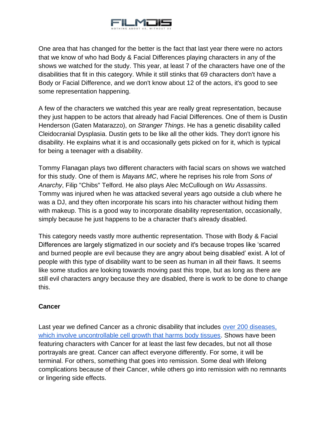

One area that has changed for the better is the fact that last year there were no actors that we know of who had Body & Facial Differences playing characters in any of the shows we watched for the study. This year, at least 7 of the characters have one of the disabilities that fit in this category. While it still stinks that 69 characters don't have a Body or Facial Difference, and we don't know about 12 of the actors, it's good to see some representation happening.

A few of the characters we watched this year are really great representation, because they just happen to be actors that already had Facial Differences. One of them is Dustin Henderson (Gaten Matarazzo), on *Stranger Things*. He has a genetic disability called Cleidocranial Dysplasia. Dustin gets to be like all the other kids. They don't ignore his disability. He explains what it is and occasionally gets picked on for it, which is typical for being a teenager with a disability.

Tommy Flanagan plays two different characters with facial scars on shows we watched for this study. One of them is *Mayans MC*, where he reprises his role from *Sons of Anarchy*, Filip "Chibs" Telford. He also plays Alec McCullough on *Wu Assassins*. Tommy was injured when he was attacked several years ago outside a club where he was a DJ, and they often incorporate his scars into his character without hiding them with makeup. This is a good way to incorporate disability representation, occasionally, simply because he just happens to be a character that's already disabled.

This category needs vastly more authentic representation. Those with Body & Facial Differences are largely stigmatized in our society and it's because tropes like 'scarred and burned people are evil because they are angry about being disabled' exist. A lot of people with this type of disability want to be seen as human in all their flaws. It seems like some studios are looking towards moving past this trope, but as long as there are still evil characters angry because they are disabled, there is work to be done to change this.

#### **Cancer**

Last year we defined Cancer as a chronic disability that includes [over 200 diseases,](https://www.cancerresearch.org/faq?gclid=Cj0KCQiA7aPyBRChARIsAJfWCgKEdN9Lr0AvSpcQkV3FlAlt43-uqV39VSJpYmkG3S-qNA36sK4RHMoaAnIAEALw_wcB)  [which involve uncontrollable cell growth that harms body tissues.](https://www.cancerresearch.org/faq?gclid=Cj0KCQiA7aPyBRChARIsAJfWCgKEdN9Lr0AvSpcQkV3FlAlt43-uqV39VSJpYmkG3S-qNA36sK4RHMoaAnIAEALw_wcB) Shows have been featuring characters with Cancer for at least the last few decades, but not all those portrayals are great. Cancer can affect everyone differently. For some, it will be terminal. For others, something that goes into remission. Some deal with lifelong complications because of their Cancer, while others go into remission with no remnants or lingering side effects.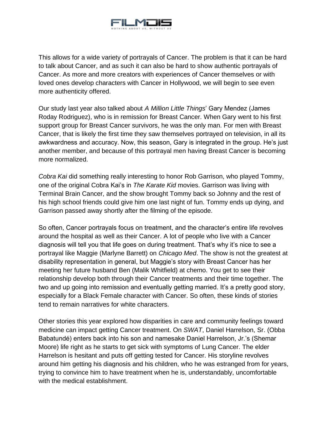

This allows for a wide variety of portrayals of Cancer. The problem is that it can be hard to talk about Cancer, and as such it can also be hard to show authentic portrayals of Cancer. As more and more creators with experiences of Cancer themselves or with loved ones develop characters with Cancer in Hollywood, we will begin to see even more authenticity offered.

Our study last year also talked about *A Million Little Things*' Gary Mendez (James Roday Rodriguez), who is in remission for Breast Cancer. When Gary went to his first support group for Breast Cancer survivors, he was the only man. For men with Breast Cancer, that is likely the first time they saw themselves portrayed on television, in all its awkwardness and accuracy. Now, this season, Gary is integrated in the group. He's just another member, and because of this portrayal men having Breast Cancer is becoming more normalized.

*Cobra Kai* did something really interesting to honor Rob Garrison, who played Tommy, one of the original Cobra Kai's in *The Karate Kid* movies. Garrison was living with Terminal Brain Cancer, and the show brought Tommy back so Johnny and the rest of his high school friends could give him one last night of fun. Tommy ends up dying, and Garrison passed away shortly after the filming of the episode.

So often, Cancer portrayals focus on treatment, and the character's entire life revolves around the hospital as well as their Cancer. A lot of people who live with a Cancer diagnosis will tell you that life goes on during treatment. That's why it's nice to see a portrayal like Maggie (Marlyne Barrett) on *Chicago Med*. The show is not the greatest at disability representation in general, but Maggie's story with Breast Cancer has her meeting her future husband Ben (Malik Whitfield) at chemo. You get to see their relationship develop both through their Cancer treatments and their time together. The two and up going into remission and eventually getting married. It's a pretty good story, especially for a Black Female character with Cancer. So often, these kinds of stories tend to remain narratives for white characters.

Other stories this year explored how disparities in care and community feelings toward medicine can impact getting Cancer treatment. On *SWAT*, Daniel Harrelson, Sr. (Obba Babatundé) enters back into his son and namesake Daniel Harrelson, Jr.'s (Shemar Moore) life right as he starts to get sick with symptoms of Lung Cancer. The elder Harrelson is hesitant and puts off getting tested for Cancer. His storyline revolves around him getting his diagnosis and his children, who he was estranged from for years, trying to convince him to have treatment when he is, understandably, uncomfortable with the medical establishment.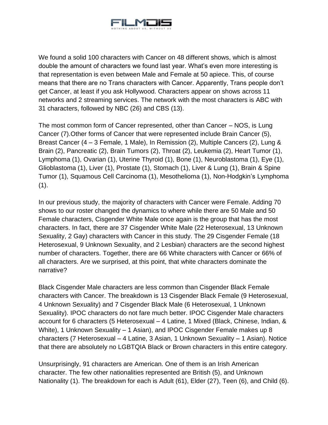

We found a solid 100 characters with Cancer on 48 different shows, which is almost double the amount of characters we found last year. What's even more interesting is that representation is even between Male and Female at 50 apiece. This, of course means that there are no Trans characters with Cancer. Apparently, Trans people don't get Cancer, at least if you ask Hollywood. Characters appear on shows across 11 networks and 2 streaming services. The network with the most characters is ABC with 31 characters, followed by NBC (26) and CBS (13).

The most common form of Cancer represented, other than Cancer – NOS, is Lung Cancer (7).Other forms of Cancer that were represented include Brain Cancer (5), Breast Cancer (4 – 3 Female, 1 Male), In Remission (2), Multiple Cancers (2), Lung & Brain (2), Pancreatic (2), Brain Tumors (2), Throat (2), Leukemia (2), Heart Tumor (1), Lymphoma (1), Ovarian (1), Uterine Thyroid (1), Bone (1), Neuroblastoma (1), Eye (1), Glioblastoma (1), Liver (1), Prostate (1), Stomach (1), Liver & Lung (1), Brain & Spine Tumor (1), Squamous Cell Carcinoma (1), Mesothelioma (1), Non-Hodgkin's Lymphoma  $(1).$ 

In our previous study, the majority of characters with Cancer were Female. Adding 70 shows to our roster changed the dynamics to where while there are 50 Male and 50 Female characters, Cisgender White Male once again is the group that has the most characters. In fact, there are 37 Cisgender White Male (22 Heterosexual, 13 Unknown Sexuality, 2 Gay) characters with Cancer in this study. The 29 Cisgender Female (18 Heterosexual, 9 Unknown Sexuality, and 2 Lesbian) characters are the second highest number of characters. Together, there are 66 White characters with Cancer or 66% of all characters. Are we surprised, at this point, that white characters dominate the narrative?

Black Cisgender Male characters are less common than Cisgender Black Female characters with Cancer. The breakdown is 13 Cisgender Black Female (9 Heterosexual, 4 Unknown Sexuality) and 7 Cisgender Black Male (6 Heterosexual, 1 Unknown Sexuality). IPOC characters do not fare much better. IPOC Cisgender Male characters account for 6 characters (5 Heterosexual – 4 Latine, 1 Mixed (Black, Chinese, Indian, & White), 1 Unknown Sexuality – 1 Asian), and IPOC Cisgender Female makes up 8 characters (7 Heterosexual – 4 Latine, 3 Asian, 1 Unknown Sexuality – 1 Asian). Notice that there are absolutely no LGBTQIA Black or Brown characters in this entire category.

Unsurprisingly, 91 characters are American. One of them is an Irish American character. The few other nationalities represented are British (5), and Unknown Nationality (1). The breakdown for each is Adult (61), Elder (27), Teen (6), and Child (6).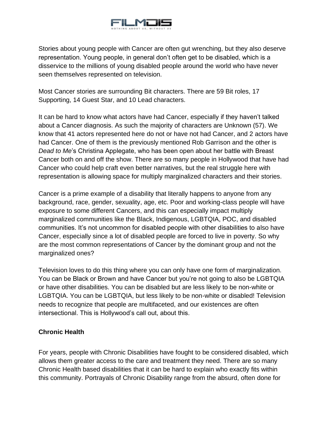

Stories about young people with Cancer are often gut wrenching, but they also deserve representation. Young people, in general don't often get to be disabled, which is a disservice to the millions of young disabled people around the world who have never seen themselves represented on television.

Most Cancer stories are surrounding Bit characters. There are 59 Bit roles, 17 Supporting, 14 Guest Star, and 10 Lead characters.

It can be hard to know what actors have had Cancer, especially if they haven't talked about a Cancer diagnosis. As such the majority of characters are Unknown (57). We know that 41 actors represented here do not or have not had Cancer, and 2 actors have had Cancer. One of them is the previously mentioned Rob Garrison and the other is *Dead to Me*'s Christina Applegate, who has been open about her battle with Breast Cancer both on and off the show. There are so many people in Hollywood that have had Cancer who could help craft even better narratives, but the real struggle here with representation is allowing space for multiply marginalized characters and their stories.

Cancer is a prime example of a disability that literally happens to anyone from any background, race, gender, sexuality, age, etc. Poor and working-class people will have exposure to some different Cancers, and this can especially impact multiply marginalized communities like the Black, Indigenous, LGBTQIA, POC, and disabled communities. It's not uncommon for disabled people with other disabilities to also have Cancer, especially since a lot of disabled people are forced to live in poverty. So why are the most common representations of Cancer by the dominant group and not the marginalized ones?

Television loves to do this thing where you can only have one form of marginalization. You can be Black or Brown and have Cancer but you're not going to also be LGBTQIA or have other disabilities. You can be disabled but are less likely to be non-white or LGBTQIA. You can be LGBTQIA, but less likely to be non-white or disabled! Television needs to recognize that people are multifaceted, and our existences are often intersectional. This is Hollywood's call out, about this.

#### **Chronic Health**

For years, people with Chronic Disabilities have fought to be considered disabled, which allows them greater access to the care and treatment they need. There are so many Chronic Health based disabilities that it can be hard to explain who exactly fits within this community. Portrayals of Chronic Disability range from the absurd, often done for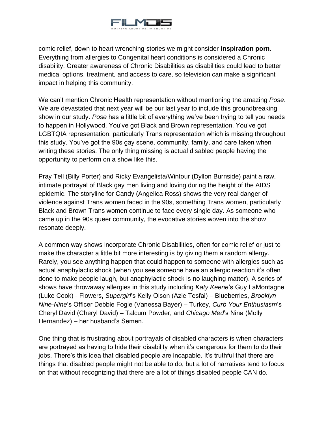

comic relief, down to heart wrenching stories we might consider **inspiration porn**. Everything from allergies to Congenital heart conditions is considered a Chronic disability. Greater awareness of Chronic Disabilities as disabilities could lead to better medical options, treatment, and access to care, so television can make a significant impact in helping this community.

We can't mention Chronic Health representation without mentioning the amazing *Pose*. We are devastated that next year will be our last year to include this groundbreaking show in our study. *Pose* has a little bit of everything we've been trying to tell you needs to happen in Hollywood. You've got Black and Brown representation. You've got LGBTQIA representation, particularly Trans representation which is missing throughout this study. You've got the 90s gay scene, community, family, and care taken when writing these stories. The only thing missing is actual disabled people having the opportunity to perform on a show like this.

Pray Tell (Billy Porter) and Ricky Evangelista/Wintour (Dyllon Burnside) paint a raw, intimate portrayal of Black gay men living and loving during the height of the AIDS epidemic. The storyline for Candy (Angelica Ross) shows the very real danger of violence against Trans women faced in the 90s, something Trans women, particularly Black and Brown Trans women continue to face every single day. As someone who came up in the 90s queer community, the evocative stories woven into the show resonate deeply.

A common way shows incorporate Chronic Disabilities, often for comic relief or just to make the character a little bit more interesting is by giving them a random allergy. Rarely, you see anything happen that could happen to someone with allergies such as actual anaphylactic shock (when you see someone have an allergic reaction it's often done to make people laugh, but anaphylactic shock is no laughing matter). A series of shows have throwaway allergies in this study including *Katy Keene*'s Guy LaMontagne (Luke Cook) - Flowers, *Supergirl*'s Kelly Olson (Azie Tesfai) – Blueberries, *Brooklyn Nine-Nine*'s Officer Debbie Fogle (Vanessa Bayer) – Turkey, *Curb Your Enthusiasm*'s Cheryl David (Cheryl David) – Talcum Powder, and *Chicago Med*'s Nina (Molly Hernandez) – her husband's Semen.

One thing that is frustrating about portrayals of disabled characters is when characters are portrayed as having to hide their disability when it's dangerous for them to do their jobs. There's this idea that disabled people are incapable. It's truthful that there are things that disabled people might not be able to do, but a lot of narratives tend to focus on that without recognizing that there are a lot of things disabled people CAN do.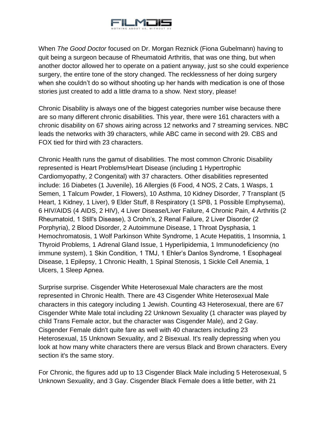

When *The Good Doctor* focused on Dr. Morgan Reznick (Fiona Gubelmann) having to quit being a surgeon because of Rheumatoid Arthritis, that was one thing, but when another doctor allowed her to operate on a patient anyway, just so she could experience surgery, the entire tone of the story changed. The recklessness of her doing surgery when she couldn't do so without shooting up her hands with medication is one of those stories just created to add a little drama to a show. Next story, please!

Chronic Disability is always one of the biggest categories number wise because there are so many different chronic disabilities. This year, there were 161 characters with a chronic disability on 67 shows airing across 12 networks and 7 streaming services. NBC leads the networks with 39 characters, while ABC came in second with 29. CBS and FOX tied for third with 23 characters.

Chronic Health runs the gamut of disabilities. The most common Chronic Disability represented is Heart Problems/Heart Disease (including 1 Hypertrophic Cardiomyopathy, 2 Congenital) with 37 characters. Other disabilities represented include: 16 Diabetes (1 Juvenile), 16 Allergies (6 Food, 4 NOS, 2 Cats, 1 Wasps, 1 Semen, 1 Talcum Powder, 1 Flowers), 10 Asthma, 10 Kidney Disorder, 7 Transplant (5 Heart, 1 Kidney, 1 Liver), 9 Elder Stuff, 8 Respiratory (1 SPB, 1 Possible Emphysema), 6 HIV/AIDS (4 AIDS, 2 HIV), 4 Liver Disease/Liver Failure, 4 Chronic Pain, 4 Arthritis (2 Rheumatoid, 1 Still's Disease), 3 Crohn's, 2 Renal Failure, 2 Liver Disorder (2 Porphyria), 2 Blood Disorder, 2 Autoimmune Disease, 1 Throat Dysphasia, 1 Hemochromatosis, 1 Wolf Parkinson White Syndrome, 1 Acute Hepatitis, 1 Insomnia, 1 Thyroid Problems, 1 Adrenal Gland Issue, 1 Hyperlipidemia, 1 Immunodeficiency (no immune system), 1 Skin Condition, 1 TMJ, 1 Ehler's Danlos Syndrome, 1 Esophageal Disease, 1 Epilepsy, 1 Chronic Health, 1 Spinal Stenosis, 1 Sickle Cell Anemia, 1 Ulcers, 1 Sleep Apnea.

Surprise surprise. Cisgender White Heterosexual Male characters are the most represented in Chronic Health. There are 43 Cisgender White Heterosexual Male characters in this category including 1 Jewish. Counting 43 Heterosexual, there are 67 Cisgender White Male total including 22 Unknown Sexuality (1 character was played by child Trans Female actor, but the character was Cisgender Male), and 2 Gay. Cisgender Female didn't quite fare as well with 40 characters including 23 Heterosexual, 15 Unknown Sexuality, and 2 Bisexual. It's really depressing when you look at how many white characters there are versus Black and Brown characters. Every section it's the same story.

For Chronic, the figures add up to 13 Cisgender Black Male including 5 Heterosexual, 5 Unknown Sexuality, and 3 Gay. Cisgender Black Female does a little better, with 21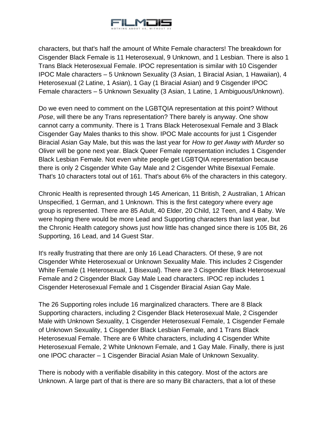

characters, but that's half the amount of White Female characters! The breakdown for Cisgender Black Female is 11 Heterosexual, 9 Unknown, and 1 Lesbian. There is also 1 Trans Black Heterosexual Female. IPOC representation is similar with 10 Cisgender IPOC Male characters – 5 Unknown Sexuality (3 Asian, 1 Biracial Asian, 1 Hawaiian), 4 Heterosexual (2 Latine, 1 Asian), 1 Gay (1 Biracial Asian) and 9 Cisgender IPOC Female characters – 5 Unknown Sexuality (3 Asian, 1 Latine, 1 Ambiguous/Unknown).

Do we even need to comment on the LGBTQIA representation at this point? Without *Pose*, will there be any Trans representation? There barely is anyway. One show cannot carry a community. There is 1 Trans Black Heterosexual Female and 3 Black Cisgender Gay Males thanks to this show. IPOC Male accounts for just 1 Cisgender Biracial Asian Gay Male, but this was the last year for *How to get Away with Murder* so Oliver will be gone next year. Black Queer Female representation includes 1 Cisgender Black Lesbian Female. Not even white people get LGBTQIA representation because there is only 2 Cisgender White Gay Male and 2 Cisgender White Bisexual Female. That's 10 characters total out of 161. That's about 6% of the characters in this category.

Chronic Health is represented through 145 American, 11 British, 2 Australian, 1 African Unspecified, 1 German, and 1 Unknown. This is the first category where every age group is represented. There are 85 Adult, 40 Elder, 20 Child, 12 Teen, and 4 Baby. We were hoping there would be more Lead and Supporting characters than last year, but the Chronic Health category shows just how little has changed since there is 105 Bit, 26 Supporting, 16 Lead, and 14 Guest Star.

It's really frustrating that there are only 16 Lead Characters. Of these, 9 are not Cisgender White Heterosexual or Unknown Sexuality Male. This includes 2 Cisgender White Female (1 Heterosexual, 1 Bisexual). There are 3 Cisgender Black Heterosexual Female and 2 Cisgender Black Gay Male Lead characters. IPOC rep includes 1 Cisgender Heterosexual Female and 1 Cisgender Biracial Asian Gay Male.

The 26 Supporting roles include 16 marginalized characters. There are 8 Black Supporting characters, including 2 Cisgender Black Heterosexual Male, 2 Cisgender Male with Unknown Sexuality, 1 Cisgender Heterosexual Female, 1 Cisgender Female of Unknown Sexuality, 1 Cisgender Black Lesbian Female, and 1 Trans Black Heterosexual Female. There are 6 White characters, including 4 Cisgender White Heterosexual Female, 2 White Unknown Female, and 1 Gay Male. Finally, there is just one IPOC character – 1 Cisgender Biracial Asian Male of Unknown Sexuality.

There is nobody with a verifiable disability in this category. Most of the actors are Unknown. A large part of that is there are so many Bit characters, that a lot of these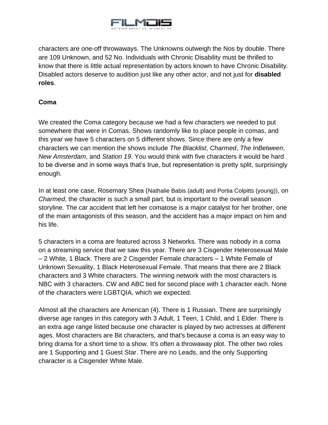

characters are one-off throwaways. The Unknowns outweigh the Nos by double. There are 109 Unknown, and 52 No. Individuals with Chronic Disability must be thrilled to know that there is little actual representation by actors known to have Chronic Disability. Disabled actors deserve to audition just like any other actor, and not just for **disabled roles**.

# **Coma**

We created the Coma category because we had a few characters we needed to put somewhere that were in Comas. Shows randomly like to place people in comas, and this year we have 5 characters on 5 different shows. Since there are only a few characters we can mention the shows include *The Blacklist*, *Charmed*, *The InBetween*, *New Amsterdam*, and *Station 19*. You would think with five characters it would be hard to be diverse and in some ways that's true, but representation is pretty split, surprisingly enough.

In at least one case, Rosemary Shea (Nathalie Babis (adult) and Portia Colpitts (young)), on *Charmed*, the character is such a small part, but is important to the overall season storyline. The car accident that left her comatose is a major catalyst for her brother, one of the main antagonists of this season, and the accident has a major impact on him and his life.

5 characters in a coma are featured across 3 Networks. There was nobody in a coma on a streaming service that we saw this year. There are 3 Cisgender Heterosexual Male – 2 White, 1 Black. There are 2 Cisgender Female characters – 1 White Female of Unknown Sexuality, 1 Black Heterosexual Female. That means that there are 2 Black characters and 3 White characters. The winning network with the most characters is NBC with 3 characters. CW and ABC tied for second place with 1 character each. None of the characters were LGBTQIA, which we expected.

Almost all the characters are American (4). There is 1 Russian. There are surprisingly diverse age ranges in this category with 3 Adult, 1 Teen, 1 Child, and 1 Elder. There is an extra age range listed because one character is played by two actresses at different ages. Most characters are Bit characters, and that's because a coma is an easy way to bring drama for a short time to a show. It's often a throwaway plot. The other two roles are 1 Supporting and 1 Guest Star. There are no Leads, and the only Supporting character is a Cisgender White Male.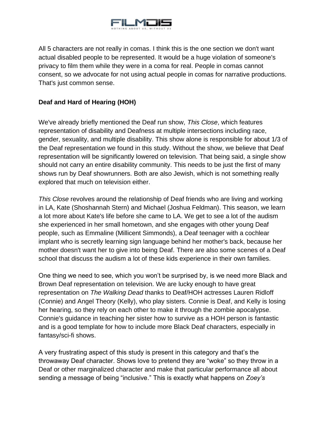

All 5 characters are not really in comas. I think this is the one section we don't want actual disabled people to be represented. It would be a huge violation of someone's privacy to film them while they were in a coma for real. People in comas cannot consent, so we advocate for not using actual people in comas for narrative productions. That's just common sense.

# **Deaf and Hard of Hearing (HOH)**

We've already briefly mentioned the Deaf run show, *This Close*, which features representation of disability and Deafness at multiple intersections including race, gender, sexuality, and multiple disability. This show alone is responsible for about 1/3 of the Deaf representation we found in this study. Without the show, we believe that Deaf representation will be significantly lowered on television. That being said, a single show should not carry an entire disability community. This needs to be just the first of many shows run by Deaf showrunners. Both are also Jewish, which is not something really explored that much on television either.

*This Close* revolves around the relationship of Deaf friends who are living and working in LA, Kate (Shoshannah Stern) and Michael (Joshua Feldman). This season, we learn a lot more about Kate's life before she came to LA. We get to see a lot of the audism she experienced in her small hometown, and she engages with other young Deaf people, such as Emmaline (Millicent Simmonds), a Deaf teenager with a cochlear implant who is secretly learning sign language behind her mother's back, because her mother doesn't want her to give into being Deaf. There are also some scenes of a Deaf school that discuss the audism a lot of these kids experience in their own families.

One thing we need to see, which you won't be surprised by, is we need more Black and Brown Deaf representation on television. We are lucky enough to have great representation on *The Walking Dead* thanks to Deaf/HOH actresses Lauren Ridloff (Connie) and Angel Theory (Kelly), who play sisters. Connie is Deaf, and Kelly is losing her hearing, so they rely on each other to make it through the zombie apocalypse. Connie's guidance in teaching her sister how to survive as a HOH person is fantastic and is a good template for how to include more Black Deaf characters, especially in fantasy/sci-fi shows.

A very frustrating aspect of this study is present in this category and that's the throwaway Deaf character. Shows love to pretend they are "woke" so they throw in a Deaf or other marginalized character and make that particular performance all about sending a message of being "inclusive." This is exactly what happens on *Zoey's*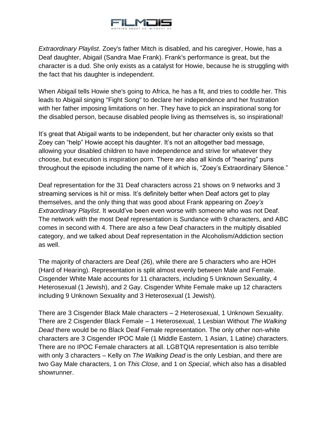

*Extraordinary Playlist*. Zoey's father Mitch is disabled, and his caregiver, Howie, has a Deaf daughter, Abigail (Sandra Mae Frank). Frank's performance is great, but the character is a dud. She only exists as a catalyst for Howie, because he is struggling with the fact that his daughter is independent.

When Abigail tells Howie she's going to Africa, he has a fit, and tries to coddle her. This leads to Abigail singing "Fight Song" to declare her independence and her frustration with her father imposing limitations on her. They have to pick an inspirational song for the disabled person, because disabled people living as themselves is, so inspirational!

It's great that Abigail wants to be independent, but her character only exists so that Zoey can "help" Howie accept his daughter. It's not an altogether bad message, allowing your disabled children to have independence and strive for whatever they choose, but execution is inspiration porn. There are also all kinds of "hearing" puns throughout the episode including the name of it which is, "Zoey's Extraordinary Silence."

Deaf representation for the 31 Deaf characters across 21 shows on 9 networks and 3 streaming services is hit or miss. It's definitely better when Deaf actors get to play themselves, and the only thing that was good about Frank appearing on *Zoey's Extraordinary Playlist*. It would've been even worse with someone who was not Deaf. The network with the most Deaf representation is Sundance with 9 characters, and ABC comes in second with 4. There are also a few Deaf characters in the multiply disabled category, and we talked about Deaf representation in the Alcoholism/Addiction section as well.

The majority of characters are Deaf (26), while there are 5 characters who are HOH (Hard of Hearing). Representation is split almost evenly between Male and Female. Cisgender White Male accounts for 11 characters, including 5 Unknown Sexuality, 4 Heterosexual (1 Jewish), and 2 Gay. Cisgender White Female make up 12 characters including 9 Unknown Sexuality and 3 Heterosexual (1 Jewish).

There are 3 Cisgender Black Male characters – 2 Heterosexual, 1 Unknown Sexuality. There are 2 Cisgender Black Female – 1 Heterosexual, 1 Lesbian Without *The Walking Dead* there would be no Black Deaf Female representation. The only other non-white characters are 3 Cisgender IPOC Male (1 Middle Eastern, 1 Asian, 1 Latine) characters. There are no IPOC Female characters at all. LGBTQIA representation is also terrible with only 3 characters – Kelly on *The Walking Dead* is the only Lesbian, and there are two Gay Male characters, 1 on *This Close*, and 1 on *Special*, which also has a disabled showrunner.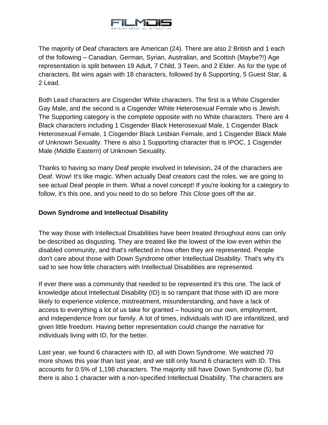

The majority of Deaf characters are American (24). There are also 2 British and 1 each of the following – Canadian, German, Syrian, Australian, and Scottish (Maybe?!) Age representation is split between 19 Adult, 7 Child, 3 Teen, and 2 Elder. As for the type of characters, Bit wins again with 18 characters, followed by 6 Supporting, 5 Guest Star, & 2 Lead.

Both Lead characters are Cisgender White characters. The first is a White Cisgender Gay Male, and the second is a Cisgender White Heterosexual Female who is Jewish. The Supporting category is the complete opposite with no White characters. There are 4 Black characters including 1 Cisgender Black Heterosexual Male, 1 Cisgender Black Heterosexual Female, 1 Cisgender Black Lesbian Female, and 1 Cisgender Black Male of Unknown Sexuality. There is also 1 Supporting character that is IPOC, 1 Cisgender Male (Middle Eastern) of Unknown Sexuality.

Thanks to having so many Deaf people involved in television, 24 of the characters are Deaf. Wow! It's like magic. When actually Deaf creators cast the roles, we are going to see actual Deaf people in them. What a novel concept! If you're looking for a category to follow, it's this one, and you need to do so before *This Close* goes off the air.

#### **Down Syndrome and Intellectual Disability**

The way those with Intellectual Disabilities have been treated throughout eons can only be described as disgusting. They are treated like the lowest of the low even within the disabled community, and that's reflected in how often they are represented. People don't care about those with Down Syndrome other Intellectual Disability. That's why it's sad to see how little characters with Intellectual Disabilities are represented.

If ever there was a community that needed to be represented it's this one. The lack of knowledge about Intellectual Disability (ID) is so rampant that those with ID are more likely to experience violence, mistreatment, misunderstanding, and have a lack of access to everything a lot of us take for granted – housing on our own, employment, and independence from our family. A lot of times, individuals with ID are infantilized, and given little freedom. Having better representation could change the narrative for individuals living with ID, for the better.

Last year, we found 6 characters with ID, all with Down Syndrome. We watched 70 more shows this year than last year, and we still only found 6 characters with ID. This accounts for 0.5% of 1,198 characters. The majority still have Down Syndrome (5), but there is also 1 character with a non-specified Intellectual Disability. The characters are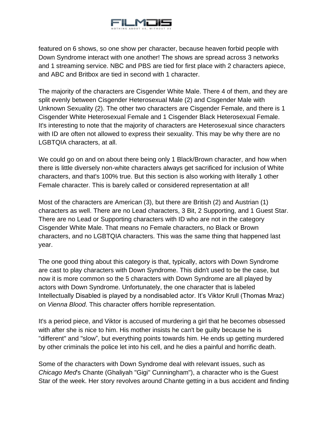

featured on 6 shows, so one show per character, because heaven forbid people with Down Syndrome interact with one another! The shows are spread across 3 networks and 1 streaming service. NBC and PBS are tied for first place with 2 characters apiece, and ABC and Britbox are tied in second with 1 character.

The majority of the characters are Cisgender White Male. There 4 of them, and they are split evenly between Cisgender Heterosexual Male (2) and Cisgender Male with Unknown Sexuality (2). The other two characters are Cisgender Female, and there is 1 Cisgender White Heterosexual Female and 1 Cisgender Black Heterosexual Female. It's interesting to note that the majority of characters are Heterosexual since characters with ID are often not allowed to express their sexuality. This may be why there are no LGBTQIA characters, at all.

We could go on and on about there being only 1 Black/Brown character, and how when there is little diversely non-white characters always get sacrificed for inclusion of White characters, and that's 100% true. But this section is also working with literally 1 other Female character. This is barely called or considered representation at all!

Most of the characters are American (3), but there are British (2) and Austrian (1) characters as well. There are no Lead characters, 3 Bit, 2 Supporting, and 1 Guest Star. There are no Lead or Supporting characters with ID who are not in the category Cisgender White Male. That means no Female characters, no Black or Brown characters, and no LGBTQIA characters. This was the same thing that happened last year.

The one good thing about this category is that, typically, actors with Down Syndrome are cast to play characters with Down Syndrome. This didn't used to be the case, but now it is more common so the 5 characters with Down Syndrome are all played by actors with Down Syndrome. Unfortunately, the one character that is labeled Intellectually Disabled is played by a nondisabled actor. It's Viktor Krull (Thomas Mraz) on *Vienna Blood*. This character offers horrible representation.

It's a period piece, and Viktor is accused of murdering a girl that he becomes obsessed with after she is nice to him. His mother insists he can't be guilty because he is "different" and "slow", but everything points towards him. He ends up getting murdered by other criminals the police let into his cell, and he dies a painful and horrific death.

Some of the characters with Down Syndrome deal with relevant issues, such as *Chicago Med*'s Chante (Ghaliyah "Gigi" Cunningham"), a character who is the Guest Star of the week. Her story revolves around Chante getting in a bus accident and finding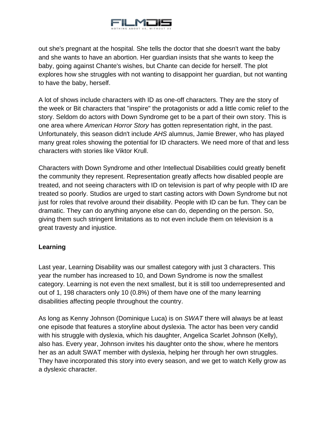

out she's pregnant at the hospital. She tells the doctor that she doesn't want the baby and she wants to have an abortion. Her guardian insists that she wants to keep the baby, going against Chante's wishes, but Chante can decide for herself. The plot explores how she struggles with not wanting to disappoint her guardian, but not wanting to have the baby, herself.

A lot of shows include characters with ID as one-off characters. They are the story of the week or Bit characters that "inspire" the protagonists or add a little comic relief to the story. Seldom do actors with Down Syndrome get to be a part of their own story. This is one area where *American Horror Story* has gotten representation right, in the past. Unfortunately, this season didn't include *AHS* alumnus, Jamie Brewer, who has played many great roles showing the potential for ID characters. We need more of that and less characters with stories like Viktor Krull.

Characters with Down Syndrome and other Intellectual Disabilities could greatly benefit the community they represent. Representation greatly affects how disabled people are treated, and not seeing characters with ID on television is part of why people with ID are treated so poorly. Studios are urged to start casting actors with Down Syndrome but not just for roles that revolve around their disability. People with ID can be fun. They can be dramatic. They can do anything anyone else can do, depending on the person. So, giving them such stringent limitations as to not even include them on television is a great travesty and injustice.

#### **Learning**

Last year, Learning Disability was our smallest category with just 3 characters. This year the number has increased to 10, and Down Syndrome is now the smallest category. Learning is not even the next smallest, but it is still too underrepresented and out of 1, 198 characters only 10 (0.8%) of them have one of the many learning disabilities affecting people throughout the country.

As long as Kenny Johnson (Dominique Luca) is on *SWAT* there will always be at least one episode that features a storyline about dyslexia. The actor has been very candid with his struggle with dyslexia, which his daughter, Angelica Scarlet Johnson (Kelly), also has. Every year, Johnson invites his daughter onto the show, where he mentors her as an adult SWAT member with dyslexia, helping her through her own struggles. They have incorporated this story into every season, and we get to watch Kelly grow as a dyslexic character.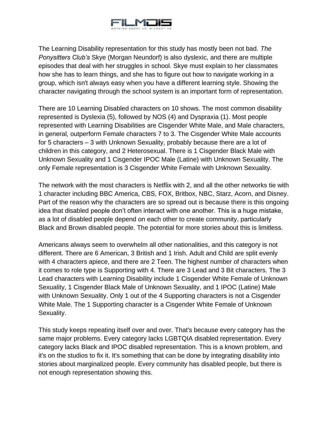

The Learning Disability representation for this study has mostly been not bad. *The Ponysitters Club's* Skye (Morgan Neundorf) is also dyslexic, and there are multiple episodes that deal with her struggles in school. Skye must explain to her classmates how she has to learn things, and she has to figure out how to navigate working in a group, which isn't always easy when you have a different learning style. Showing the character navigating through the school system is an important form of representation.

There are 10 Learning Disabled characters on 10 shows. The most common disability represented is Dyslexia (5), followed by NOS (4) and Dyspraxia (1). Most people represented with Learning Disabilities are Cisgender White Male, and Male characters, in general, outperform Female characters 7 to 3. The Cisgender White Male accounts for 5 characters – 3 with Unknown Sexuality, probably because there are a lot of children in this category, and 2 Heterosexual. There is 1 Cisgender Black Male with Unknown Sexuality and 1 Cisgender IPOC Male (Latine) with Unknown Sexuality. The only Female representation is 3 Cisgender White Female with Unknown Sexuality.

The network with the most characters is Netflix with 2, and all the other networks tie with 1 character including BBC America, CBS, FOX, Britbox, NBC, Starz, Acorn, and Disney. Part of the reason why the characters are so spread out is because there is this ongoing idea that disabled people don't often interact with one another. This is a huge mistake, as a lot of disabled people depend on each other to create community, particularly Black and Brown disabled people. The potential for more stories about this is limitless.

Americans always seem to overwhelm all other nationalities, and this category is not different. There are 6 American, 3 British and 1 Irish. Adult and Child are split evenly with 4 characters apiece, and there are 2 Teen. The highest number of characters when it comes to role type is Supporting with 4. There are 3 Lead and 3 Bit characters. The 3 Lead characters with Learning Disability include 1 Cisgender White Female of Unknown Sexuality, 1 Cisgender Black Male of Unknown Sexuality, and 1 IPOC (Latine) Male with Unknown Sexuality. Only 1 out of the 4 Supporting characters is not a Cisgender White Male. The 1 Supporting character is a Cisgender White Female of Unknown Sexuality.

This study keeps repeating itself over and over. That's because every category has the same major problems. Every category lacks LGBTQIA disabled representation. Every category lacks Black and IPOC disabled representation. This is a known problem, and it's on the studios to fix it. It's something that can be done by integrating disability into stories about marginalized people. Every community has disabled people, but there is not enough representation showing this.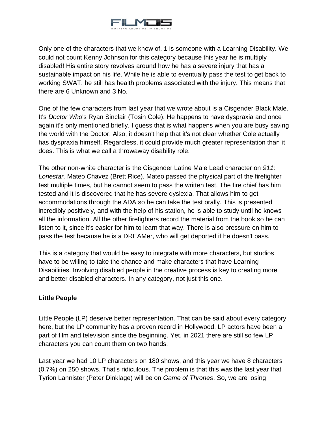

Only one of the characters that we know of, 1 is someone with a Learning Disability. We could not count Kenny Johnson for this category because this year he is multiply disabled! His entire story revolves around how he has a severe injury that has a sustainable impact on his life. While he is able to eventually pass the test to get back to working SWAT, he still has health problems associated with the injury. This means that there are 6 Unknown and 3 No.

One of the few characters from last year that we wrote about is a Cisgender Black Male. It's *Doctor Who*'s Ryan Sinclair (Tosin Cole). He happens to have dyspraxia and once again it's only mentioned briefly. I guess that is what happens when you are busy saving the world with the Doctor. Also, it doesn't help that it's not clear whether Cole actually has dyspraxia himself. Regardless, it could provide much greater representation than it does. This is what we call a throwaway disability role.

The other non-white character is the Cisgender Latine Male Lead character on *911: Lonestar,* Mateo Chavez (Brett Rice). Mateo passed the physical part of the firefighter test multiple times, but he cannot seem to pass the written test. The fire chief has him tested and it is discovered that he has severe dyslexia. That allows him to get accommodations through the ADA so he can take the test orally. This is presented incredibly positively, and with the help of his station, he is able to study until he knows all the information. All the other firefighters record the material from the book so he can listen to it, since it's easier for him to learn that way. There is also pressure on him to pass the test because he is a DREAMer, who will get deported if he doesn't pass.

This is a category that would be easy to integrate with more characters, but studios have to be willing to take the chance and make characters that have Learning Disabilities. Involving disabled people in the creative process is key to creating more and better disabled characters. In any category, not just this one.

# **Little People**

Little People (LP) deserve better representation. That can be said about every category here, but the LP community has a proven record in Hollywood. LP actors have been a part of film and television since the beginning. Yet, in 2021 there are still so few LP characters you can count them on two hands.

Last year we had 10 LP characters on 180 shows, and this year we have 8 characters (0.7%) on 250 shows. That's ridiculous. The problem is that this was the last year that Tyrion Lannister (Peter Dinklage) will be on *Game of Thrones*. So, we are losing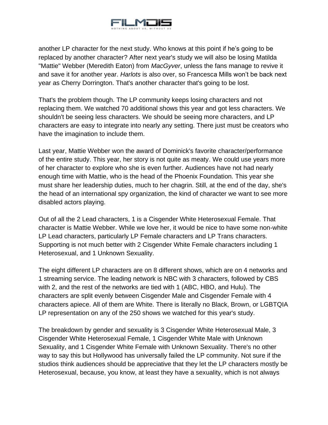

another LP character for the next study. Who knows at this point if he's going to be replaced by another character? After next year's study we will also be losing Matilda "Mattie" Webber (Meredith Eaton) from *MacGyver*, unless the fans manage to revive it and save it for another year. *Harlots* is also over, so Francesca Mills won't be back next year as Cherry Dorrington. That's another character that's going to be lost.

That's the problem though. The LP community keeps losing characters and not replacing them. We watched 70 additional shows this year and got less characters. We shouldn't be seeing less characters. We should be seeing more characters, and LP characters are easy to integrate into nearly any setting. There just must be creators who have the imagination to include them.

Last year, Mattie Webber won the award of Dominick's favorite character/performance of the entire study. This year, her story is not quite as meaty. We could use years more of her character to explore who she is even further. Audiences have not had nearly enough time with Mattie, who is the head of the Phoenix Foundation. This year she must share her leadership duties, much to her chagrin. Still, at the end of the day, she's the head of an international spy organization, the kind of character we want to see more disabled actors playing.

Out of all the 2 Lead characters, 1 is a Cisgender White Heterosexual Female. That character is Mattie Webber. While we love her, it would be nice to have some non-white LP Lead characters, particularly LP Female characters and LP Trans characters. Supporting is not much better with 2 Cisgender White Female characters including 1 Heterosexual, and 1 Unknown Sexuality.

The eight different LP characters are on 8 different shows, which are on 4 networks and 1 streaming service. The leading network is NBC with 3 characters, followed by CBS with 2, and the rest of the networks are tied with 1 (ABC, HBO, and Hulu). The characters are split evenly between Cisgender Male and Cisgender Female with 4 characters apiece. All of them are White. There is literally no Black, Brown, or LGBTQIA LP representation on any of the 250 shows we watched for this year's study.

The breakdown by gender and sexuality is 3 Cisgender White Heterosexual Male, 3 Cisgender White Heterosexual Female, 1 Cisgender White Male with Unknown Sexuality, and 1 Cisgender White Female with Unknown Sexuality. There's no other way to say this but Hollywood has universally failed the LP community. Not sure if the studios think audiences should be appreciative that they let the LP characters mostly be Heterosexual, because, you know, at least they have a sexuality, which is not always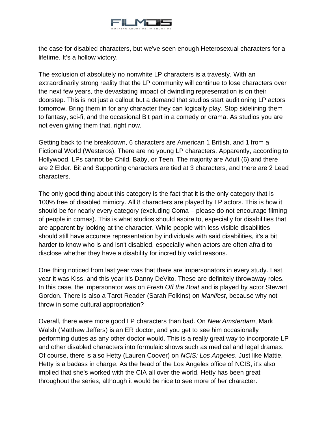

the case for disabled characters, but we've seen enough Heterosexual characters for a lifetime. It's a hollow victory.

The exclusion of absolutely no nonwhite LP characters is a travesty. With an extraordinarily strong reality that the LP community will continue to lose characters over the next few years, the devastating impact of dwindling representation is on their doorstep. This is not just a callout but a demand that studios start auditioning LP actors tomorrow. Bring them in for any character they can logically play. Stop sidelining them to fantasy, sci-fi, and the occasional Bit part in a comedy or drama. As studios you are not even giving them that, right now.

Getting back to the breakdown, 6 characters are American 1 British, and 1 from a Fictional World (Westeros). There are no young LP characters. Apparently, according to Hollywood, LPs cannot be Child, Baby, or Teen. The majority are Adult (6) and there are 2 Elder. Bit and Supporting characters are tied at 3 characters, and there are 2 Lead characters.

The only good thing about this category is the fact that it is the only category that is 100% free of disabled mimicry. All 8 characters are played by LP actors. This is how it should be for nearly every category (excluding Coma – please do not encourage filming of people in comas). This is what studios should aspire to, especially for disabilities that are apparent by looking at the character. While people with less visible disabilities should still have accurate representation by individuals with said disabilities, it's a bit harder to know who is and isn't disabled, especially when actors are often afraid to disclose whether they have a disability for incredibly valid reasons.

One thing noticed from last year was that there are impersonators in every study. Last year it was Kiss, and this year it's Danny DeVito. These are definitely throwaway roles. In this case, the impersonator was on *Fresh Off the Boat* and is played by actor Stewart Gordon. There is also a Tarot Reader (Sarah Folkins) on *Manifest*, because why not throw in some cultural appropriation?

Overall, there were more good LP characters than bad. On *New Amsterdam*, Mark Walsh (Matthew Jeffers) is an ER doctor, and you get to see him occasionally performing duties as any other doctor would. This is a really great way to incorporate LP and other disabled characters into formulaic shows such as medical and legal dramas. Of course, there is also Hetty (Lauren Coover) on *NCIS: Los Angeles*. Just like Mattie, Hetty is a badass in charge. As the head of the Los Angeles office of NCIS, it's also implied that she's worked with the CIA all over the world. Hetty has been great throughout the series, although it would be nice to see more of her character.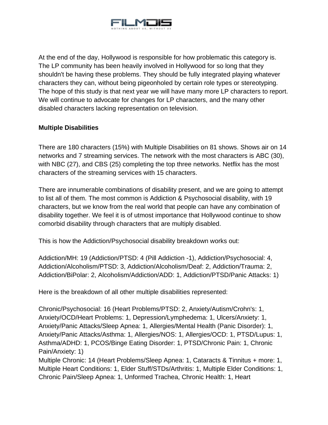

At the end of the day, Hollywood is responsible for how problematic this category is. The LP community has been heavily involved in Hollywood for so long that they shouldn't be having these problems. They should be fully integrated playing whatever characters they can, without being pigeonholed by certain role types or stereotyping. The hope of this study is that next year we will have many more LP characters to report. We will continue to advocate for changes for LP characters, and the many other disabled characters lacking representation on television.

## **Multiple Disabilities**

There are 180 characters (15%) with Multiple Disabilities on 81 shows. Shows air on 14 networks and 7 streaming services. The network with the most characters is ABC (30), with NBC (27), and CBS (25) completing the top three networks. Netflix has the most characters of the streaming services with 15 characters.

There are innumerable combinations of disability present, and we are going to attempt to list all of them. The most common is Addiction & Psychosocial disability, with 19 characters, but we know from the real world that people can have any combination of disability together. We feel it is of utmost importance that Hollywood continue to show comorbid disability through characters that are multiply disabled.

This is how the Addiction/Psychosocial disability breakdown works out:

Addiction/MH: 19 (Addiction/PTSD: 4 (Pill Addiction -1), Addiction/Psychosocial: 4, Addiction/Alcoholism/PTSD: 3, Addiction/Alcoholism/Deaf: 2, Addiction/Trauma: 2, Addiction/BiPolar: 2, Alcoholism/Addiction/ADD: 1, Addiction/PTSD/Panic Attacks: 1)

Here is the breakdown of all other multiple disabilities represented:

Chronic/Psychosocial: 16 (Heart Problems/PTSD: 2, Anxiety/Autism/Crohn's: 1, Anxiety/OCD/Heart Problems: 1, Depression/Lymphedema: 1, Ulcers/Anxiety: 1, Anxiety/Panic Attacks/Sleep Apnea: 1, Allergies/Mental Health (Panic Disorder): 1, Anxiety/Panic Attacks/Asthma: 1, Allergies/NOS: 1, Allergies/OCD: 1, PTSD/Lupus: 1, Asthma/ADHD: 1, PCOS/Binge Eating Disorder: 1, PTSD/Chronic Pain: 1, Chronic Pain/Anxiety: 1)

Multiple Chronic: 14 (Heart Problems/Sleep Apnea: 1, Cataracts & Tinnitus + more: 1, Multiple Heart Conditions: 1, Elder Stuff/STDs/Arthritis: 1, Multiple Elder Conditions: 1, Chronic Pain/Sleep Apnea: 1, Unformed Trachea, Chronic Health: 1, Heart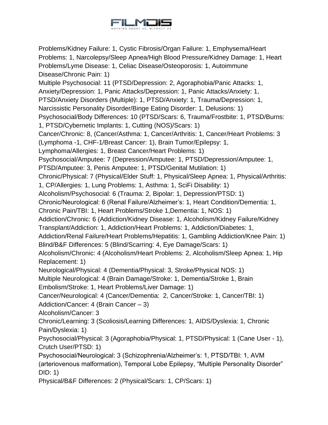

Problems/Kidney Failure: 1, Cystic Fibrosis/Organ Failure: 1, Emphysema/Heart Problems: 1, Narcolepsy/Sleep Apnea/High Blood Pressure/Kidney Damage: 1, Heart Problems/Lyme Disease: 1, Celiac Disease/Osteoporosis: 1, Autoimmune Disease/Chronic Pain: 1) Multiple Psychosocial: 11 (PTSD/Depression: 2, Agoraphobia/Panic Attacks: 1, Anxiety/Depression: 1, Panic Attacks/Depression: 1, Panic Attacks/Anxiety: 1, PTSD/Anxiety Disorders (Multiple): 1, PTSD/Anxiety: 1, Trauma/Depression: 1, Narcissistic Personality Disorder/Binge Eating Disorder: 1, Delusions: 1) Psychosocial/Body Differences: 10 (PTSD/Scars: 6, Trauma/Frostbite: 1, PTSD/Burns: 1, PTSD/Cybernetic Implants: 1, Cutting (NOS)/Scars: 1) Cancer/Chronic: 8, (Cancer/Asthma: 1, Cancer/Arthritis: 1, Cancer/Heart Problems: 3 (Lymphoma -1, CHF-1/Breast Cancer: 1), Brain Tumor/Epilepsy: 1, Lymphoma/Allergies: 1, Breast Cancer/Heart Problems: 1) Psychosocial/Amputee: 7 (Depression/Amputee: 1, PTSD/Depression/Amputee: 1, PTSD/Amputee: 3, Penis Amputee: 1, PTSD/Genital Mutilation: 1) Chronic/Physical: 7 (Physical/Elder Stuff: 1, Physical/Sleep Apnea: 1, Physical/Arthritis: 1, CP/Allergies: 1, Lung Problems: 1, Asthma: 1, SciFi Disability: 1) Alcoholism/Psychosocial: 6 (Trauma: 2, Bipolar: 1, Depression/PTSD: 1) Chronic/Neurological: 6 (Renal Failure/Alzheimer's: 1, Heart Condition/Dementia: 1, Chronic Pain/TBI: 1, Heart Problems/Stroke 1,Dementia: 1, NOS: 1) Addiction/Chronic: 6 (Addiction/Kidney Disease: 1, Alcoholism/Kidney Failure/Kidney Transplant/Addiction: 1, Addiction/Heart Problems: 1, Addiction/Diabetes: 1, Addiction/Renal Failure/Heart Problems/Hepatitis: 1, Gambling Addiction/Knee Pain: 1) Blind/B&F Differences: 5 (Blind/Scarring: 4, Eye Damage/Scars: 1) Alcoholism/Chronic: 4 (Alcoholism/Heart Problems: 2, Alcoholism/Sleep Apnea: 1, Hip Replacement: 1) Neurological/Physical: 4 (Dementia/Physical: 3, Stroke/Physical NOS: 1) Multiple Neurological: 4 (Brain Damage/Stroke: 1, Dementia/Stroke 1, Brain Embolism/Stroke: 1, Heart Problems/Liver Damage: 1) Cancer/Neurological: 4 (Cancer/Dementia: 2, Cancer/Stroke: 1, Cancer/TBI: 1) Addiction/Cancer: 4 (Brain Cancer – 3) Alcoholism/Cancer: 3 Chronic/Learning: 3 (Scoliosis/Learning Differences: 1, AIDS/Dyslexia: 1, Chronic Pain/Dyslexia: 1) Psychosocial/Physical: 3 (Agoraphobia/Physical: 1, PTSD/Physical: 1 (Cane User - 1), Crutch User/PTSD: 1) Psychosocial/Neurological: 3 (Schizophrenia/Alzheimer's: 1, PTSD/TBI: 1, AVM (arteriovenous malformation), Temporal Lobe Epilepsy, "Multiple Personality Disorder" DID: 1) Physical/B&F Differences: 2 (Physical/Scars: 1, CP/Scars: 1)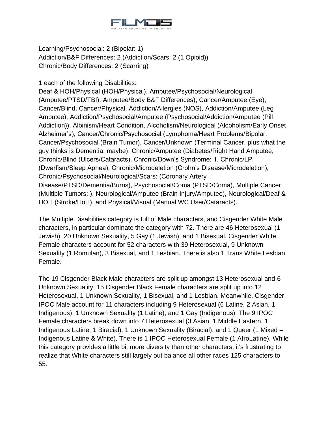

Learning/Psychosocial: 2 (Bipolar: 1) Addiction/B&F Differences: 2 (Addiction/Scars: 2 (1 Opioid)) Chronic/Body Differences: 2 (Scarring)

1 each of the following Disabilities:

Deaf & HOH/Physical (HOH/Physical), Amputee/Psychosocial/Neurological (Amputee/PTSD/TBI), Amputee/Body B&F Differences), Cancer/Amputee (Eye), Cancer/Blind, Cancer/Physical, Addiction/Allergies (NOS), Addiction/Amputee (Leg Amputee), Addiction/Psychosocial/Amputee (Psychosocial/Addiction/Amputee (Pill Addiction)), Albinism/Heart Condition, Alcoholism/Neurological (Alcoholism/Early Onset Alzheimer's), Cancer/Chronic/Psychosocial (Lymphoma/Heart Problems/Bipolar, Cancer/Psychosocial (Brain Tumor), Cancer/Unknown (Terminal Cancer, plus what the guy thinks is Dementia, maybe), Chronic/Amputee (Diabetes/Right Hand Amputee, Chronic/Blind (Ulcers/Cataracts), Chronic/Down's Syndrome: 1, Chronic/LP (Dwarfism/Sleep Apnea), Chronic/Microdeletion (Crohn's Disease/Microdeletion), Chronic/Psychosocial/Neurological/Scars: (Coronary Artery Disease/PTSD/Dementia/Burns), Psychosocial/Coma (PTSD/Coma), Multiple Cancer (Multiple Tumors: ), Neurological/Amputee (Brain Injury/Amputee), Neurological/Deaf & HOH (Stroke/HoH), and Physical/Visual (Manual WC User/Cataracts).

The Multiple Disabilities category is full of Male characters, and Cisgender White Male characters, in particular dominate the category with 72. There are 46 Heterosexual (1 Jewish), 20 Unknown Sexuality, 5 Gay (1 Jewish), and 1 Bisexual. Cisgender White Female characters account for 52 characters with 39 Heterosexual, 9 Unknown Sexuality (1 Romulan), 3 Bisexual, and 1 Lesbian. There is also 1 Trans White Lesbian Female.

The 19 Cisgender Black Male characters are split up amongst 13 Heterosexual and 6 Unknown Sexuality. 15 Cisgender Black Female characters are split up into 12 Heterosexual, 1 Unknown Sexuality, 1 Bisexual, and 1 Lesbian. Meanwhile, Cisgender IPOC Male account for 11 characters including 9 Heterosexual (6 Latine, 2 Asian, 1 Indigenous), 1 Unknown Sexuality (1 Latine), and 1 Gay (Indigenous). The 9 IPOC Female characters break down into 7 Heterosexual (3 Asian, 1 Middle Eastern, 1 Indigenous Latine, 1 Biracial), 1 Unknown Sexuality (Biracial), and 1 Queer (1 Mixed – Indigenous Latine & White). There is 1 IPOC Heterosexual Female (1 AfroLatine). While this category provides a little bit more diversity than other characters, it's frustrating to realize that White characters still largely out balance all other races 125 characters to 55.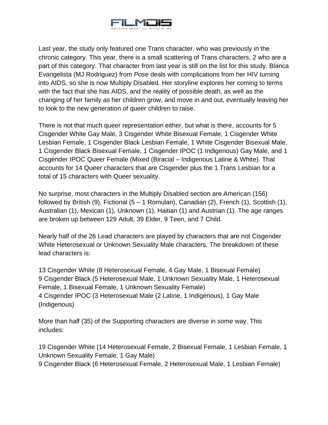

Last year, the study only featured one Trans character, who was previously in the chronic category. This year, there is a small scattering of Trans characters, 2 who are a part of this category. That character from last year is still on the list for this study. Blanca Evangelista (MJ Rodriguez) from *Pose* deals with complications from her HIV turning into AIDS, so she is now Multiply Disabled. Her storyline explores her coming to terms with the fact that she has AIDS, and the reality of possible death, as well as the changing of her family as her children grow, and move in and out, eventually leaving her to look to the new generation of queer children to raise.

There is not that much queer representation either, but what is there, accounts for 5 Cisgender White Gay Male, 3 Cisgender White Bisexual Female, 1 Cisgender White Lesbian Female, 1 Cisgender Black Lesbian Female, 1 White Cisgender Bisexual Male, 1 Cisgender Black Bisexual Female, 1 Cisgender IPOC (1 Indigenous) Gay Male, and 1 Cisgender IPOC Queer Female (Mixed (Biracial – Indigenous Latine & White). That accounts for 14 Queer characters that are Cisgender plus the 1 Trans Lesbian for a total of 15 characters with Queer sexuality.

No surprise, most characters in the Multiply Disabled section are American (156) followed by British (9), Fictional (5 – 1 Romulan), Canadian (2), French (1), Scottish (1), Australian (1), Mexican (1), Unknown (1), Haitian (1) and Austrian (1). The age ranges are broken up between 129 Adult, 39 Elder, 9 Teen, and 7 Child.

Nearly half of the 26 Lead characters are played by characters that are not Cisgender White Heterosexual or Unknown Sexuality Male characters. The breakdown of these lead characters is:

13 Cisgender White (8 Heterosexual Female, 4 Gay Male, 1 Bisexual Female) 9 Cisgender Black (5 Heterosexual Male, 1 Unknown Sexuality Male, 1 Heterosexual Female, 1 Bisexual Female, 1 Unknown Sexuality Female) 4 Cisgender IPOC (3 Heterosexual Male (2 Latine, 1 Indigenous), 1 Gay Male (Indigenous)

More than half (35) of the Supporting characters are diverse in some way. This includes:

19 Cisgender White (14 Heterosexual Female, 2 Bisexual Female, 1 Lesbian Female, 1 Unknown Sexuality Female, 1 Gay Male)

9 Cisgender Black (6 Heterosexual Female, 2 Heterosexual Male, 1 Lesbian Female)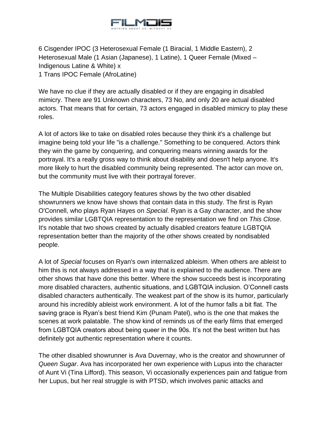

6 Cisgender IPOC (3 Heterosexual Female (1 Biracial, 1 Middle Eastern), 2 Heterosexual Male (1 Asian (Japanese), 1 Latine), 1 Queer Female (Mixed – Indigenous Latine & White) x 1 Trans IPOC Female (AfroLatine)

We have no clue if they are actually disabled or if they are engaging in disabled mimicry. There are 91 Unknown characters, 73 No, and only 20 are actual disabled actors. That means that for certain, 73 actors engaged in disabled mimicry to play these roles.

A lot of actors like to take on disabled roles because they think it's a challenge but imagine being told your life "is a challenge." Something to be conquered. Actors think they win the game by conquering, and conquering means winning awards for the portrayal. It's a really gross way to think about disability and doesn't help anyone. It's more likely to hurt the disabled community being represented. The actor can move on, but the community must live with their portrayal forever.

The Multiple Disabilities category features shows by the two other disabled showrunners we know have shows that contain data in this study. The first is Ryan O'Connell, who plays Ryan Hayes on *Special*. Ryan is a Gay character, and the show provides similar LGBTQIA representation to the representation we find on *This Close*. It's notable that two shows created by actually disabled creators feature LGBTQIA representation better than the majority of the other shows created by nondisabled people.

A lot of *Special* focuses on Ryan's own internalized ableism. When others are ableist to him this is not always addressed in a way that is explained to the audience. There are other shows that have done this better. Where the show succeeds best is incorporating more disabled characters, authentic situations, and LGBTQIA inclusion. O'Connell casts disabled characters authentically. The weakest part of the show is its humor, particularly around his incredibly ableist work environment. A lot of the humor falls a bit flat. The saving grace is Ryan's best friend Kim (Punam Patel), who is the one that makes the scenes at work palatable. The show kind of reminds us of the early films that emerged from LGBTQIA creators about being queer in the 90s. It's not the best written but has definitely got authentic representation where it counts.

The other disabled showrunner is Ava Duvernay, who is the creator and showrunner of *Queen Sugar*. Ava has incorporated her own experience with Lupus into the character of Aunt Vi (Tina Lifford). This season, Vi occasionally experiences pain and fatigue from her Lupus, but her real struggle is with PTSD, which involves panic attacks and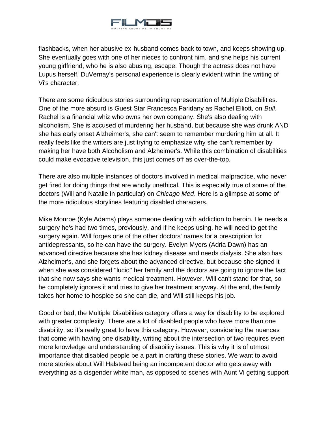

flashbacks, when her abusive ex-husband comes back to town, and keeps showing up. She eventually goes with one of her nieces to confront him, and she helps his current young girlfriend, who he is also abusing, escape. Though the actress does not have Lupus herself, DuVernay's personal experience is clearly evident within the writing of Vi's character.

There are some ridiculous stories surrounding representation of Multiple Disabilities. One of the more absurd is Guest Star Francesca Faridany as Rachel Elliott, on *Bull*. Rachel is a financial whiz who owns her own company. She's also dealing with alcoholism. She is accused of murdering her husband, but because she was drunk AND she has early onset Alzheimer's, she can't seem to remember murdering him at all. It really feels like the writers are just trying to emphasize why she can't remember by making her have both Alcoholism and Alzheimer's. While this combination of disabilities could make evocative television, this just comes off as over-the-top.

There are also multiple instances of doctors involved in medical malpractice, who never get fired for doing things that are wholly unethical. This is especially true of some of the doctors (Will and Natalie in particular) on *Chicago Med*. Here is a glimpse at some of the more ridiculous storylines featuring disabled characters.

Mike Monroe (Kyle Adams) plays someone dealing with addiction to heroin. He needs a surgery he's had two times, previously, and if he keeps using, he will need to get the surgery again. Will forges one of the other doctors' names for a prescription for antidepressants, so he can have the surgery. Evelyn Myers (Adria Dawn) has an advanced directive because she has kidney disease and needs dialysis. She also has Alzheimer's, and she forgets about the advanced directive, but because she signed it when she was considered "lucid" her family and the doctors are going to ignore the fact that she now says she wants medical treatment. However, Will can't stand for that, so he completely ignores it and tries to give her treatment anyway. At the end, the family takes her home to hospice so she can die, and Will still keeps his job.

Good or bad, the Multiple Disabilities category offers a way for disability to be explored with greater complexity. There are a lot of disabled people who have more than one disability, so it's really great to have this category. However, considering the nuances that come with having one disability, writing about the intersection of two requires even more knowledge and understanding of disability issues. This is why it is of utmost importance that disabled people be a part in crafting these stories. We want to avoid more stories about Will Halstead being an incompetent doctor who gets away with everything as a cisgender white man, as opposed to scenes with Aunt Vi getting support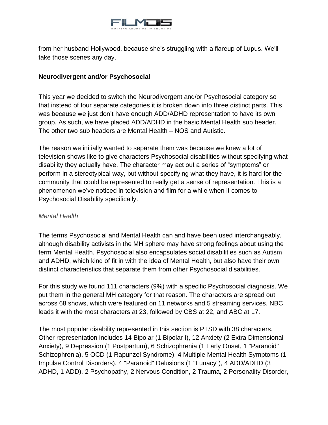

from her husband Hollywood, because she's struggling with a flareup of Lupus. We'll take those scenes any day.

## **Neurodivergent and/or Psychosocial**

This year we decided to switch the Neurodivergent and/or Psychosocial category so that instead of four separate categories it is broken down into three distinct parts. This was because we just don't have enough ADD/ADHD representation to have its own group. As such, we have placed ADD/ADHD in the basic Mental Health sub header. The other two sub headers are Mental Health – NOS and Autistic.

The reason we initially wanted to separate them was because we knew a lot of television shows like to give characters Psychosocial disabilities without specifying what disability they actually have. The character may act out a series of "symptoms" or perform in a stereotypical way, but without specifying what they have, it is hard for the community that could be represented to really get a sense of representation. This is a phenomenon we've noticed in television and film for a while when it comes to Psychosocial Disability specifically.

### *Mental Health*

The terms Psychosocial and Mental Health can and have been used interchangeably, although disability activists in the MH sphere may have strong feelings about using the term Mental Health. Psychosocial also encapsulates social disabilities such as Autism and ADHD, which kind of fit in with the idea of Mental Health, but also have their own distinct characteristics that separate them from other Psychosocial disabilities.

For this study we found 111 characters (9%) with a specific Psychosocial diagnosis. We put them in the general MH category for that reason. The characters are spread out across 68 shows, which were featured on 11 networks and 5 streaming services. NBC leads it with the most characters at 23, followed by CBS at 22, and ABC at 17.

The most popular disability represented in this section is PTSD with 38 characters. Other representation includes 14 Bipolar (1 Bipolar I), 12 Anxiety (2 Extra Dimensional Anxiety), 9 Depression (1 Postpartum), 6 Schizophrenia (1 Early Onset, 1 "Paranoid" Schizophrenia), 5 OCD (1 Rapunzel Syndrome), 4 Multiple Mental Health Symptoms (1 Impulse Control Disorders), 4 "Paranoid" Delusions (1 "Lunacy"), 4 ADD/ADHD (3 ADHD, 1 ADD), 2 Psychopathy, 2 Nervous Condition, 2 Trauma, 2 Personality Disorder,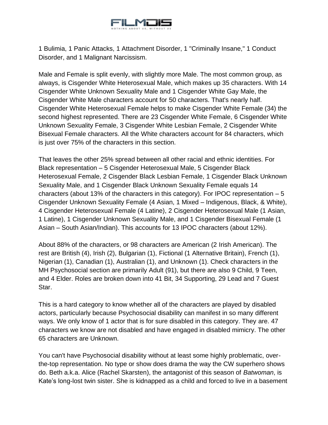

1 Bulimia, 1 Panic Attacks, 1 Attachment Disorder, 1 "Criminally Insane," 1 Conduct Disorder, and 1 Malignant Narcissism.

Male and Female is split evenly, with slightly more Male. The most common group, as always, is Cisgender White Heterosexual Male, which makes up 35 characters. With 14 Cisgender White Unknown Sexuality Male and 1 Cisgender White Gay Male, the Cisgender White Male characters account for 50 characters. That's nearly half. Cisgender White Heterosexual Female helps to make Cisgender White Female (34) the second highest represented. There are 23 Cisgender White Female, 6 Cisgender White Unknown Sexuality Female, 3 Cisgender White Lesbian Female, 2 Cisgender White Bisexual Female characters. All the White characters account for 84 characters, which is just over 75% of the characters in this section.

That leaves the other 25% spread between all other racial and ethnic identities. For Black representation – 5 Cisgender Heterosexual Male, 5 Cisgender Black Heterosexual Female, 2 Cisgender Black Lesbian Female, 1 Cisgender Black Unknown Sexuality Male, and 1 Cisgender Black Unknown Sexuality Female equals 14 characters (about 13% of the characters in this category). For IPOC representation  $-5$ Cisgender Unknown Sexuality Female (4 Asian, 1 Mixed – Indigenous, Black, & White), 4 Cisgender Heterosexual Female (4 Latine), 2 Cisgender Heterosexual Male (1 Asian, 1 Latine), 1 Cisgender Unknown Sexuality Male, and 1 Cisgender Bisexual Female (1 Asian – South Asian/Indian). This accounts for 13 IPOC characters (about 12%).

About 88% of the characters, or 98 characters are American (2 Irish American). The rest are British (4), Irish (2), Bulgarian (1), Fictional (1 Alternative Britain), French (1), Nigerian (1), Canadian (1), Australian (1), and Unknown (1). Check characters in the MH Psychosocial section are primarily Adult (91), but there are also 9 Child, 9 Teen, and 4 Elder. Roles are broken down into 41 Bit, 34 Supporting, 29 Lead and 7 Guest Star.

This is a hard category to know whether all of the characters are played by disabled actors, particularly because Psychosocial disability can manifest in so many different ways. We only know of 1 actor that is for sure disabled in this category. They are. 47 characters we know are not disabled and have engaged in disabled mimicry. The other 65 characters are Unknown.

You can't have Psychosocial disability without at least some highly problematic, overthe-top representation. No type or show does drama the way the CW superhero shows do. Beth a.k.a. Alice (Rachel Skarsten), the antagonist of this season of *Batwoman*, is Kate's long-lost twin sister. She is kidnapped as a child and forced to live in a basement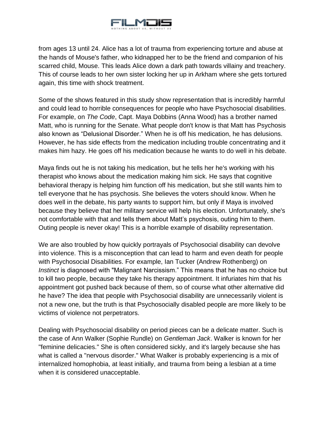

from ages 13 until 24. Alice has a lot of trauma from experiencing torture and abuse at the hands of Mouse's father, who kidnapped her to be the friend and companion of his scarred child, Mouse. This leads Alice down a dark path towards villainy and treachery. This of course leads to her own sister locking her up in Arkham where she gets tortured again, this time with shock treatment.

Some of the shows featured in this study show representation that is incredibly harmful and could lead to horrible consequences for people who have Psychosocial disabilities. For example, on *The Code*, Capt. Maya Dobbins (Anna Wood) has a brother named Matt, who is running for the Senate. What people don't know is that Matt has Psychosis also known as "Delusional Disorder." When he is off his medication, he has delusions. However, he has side effects from the medication including trouble concentrating and it makes him hazy. He goes off his medication because he wants to do well in his debate.

Maya finds out he is not taking his medication, but he tells her he's working with his therapist who knows about the medication making him sick. He says that cognitive behavioral therapy is helping him function off his medication, but she still wants him to tell everyone that he has psychosis. She believes the voters should know. When he does well in the debate, his party wants to support him, but only if Maya is involved because they believe that her military service will help his election. Unfortunately, she's not comfortable with that and tells them about Matt's psychosis, outing him to them. Outing people is never okay! This is a horrible example of disability representation.

We are also troubled by how quickly portrayals of Psychosocial disability can devolve into violence. This is a misconception that can lead to harm and even death for people with Psychosocial Disabilities. For example, Ian Tucker (Andrew Rothenberg) on *Instinct* is diagnosed with "Malignant Narcissism." This means that he has no choice but to kill two people, because they take his therapy appointment. It infuriates him that his appointment got pushed back because of them, so of course what other alternative did he have? The idea that people with Psychosocial disability are unnecessarily violent is not a new one, but the truth is that Psychosocially disabled people are more likely to be victims of violence not perpetrators.

Dealing with Psychosocial disability on period pieces can be a delicate matter. Such is the case of Ann Walker (Sophie Rundle) on *Gentleman Jack*. Walker is known for her "feminine delicacies." She is often considered sickly, and it's largely because she has what is called a "nervous disorder." What Walker is probably experiencing is a mix of internalized homophobia, at least initially, and trauma from being a lesbian at a time when it is considered unacceptable.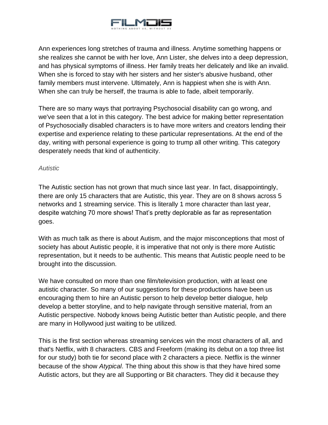

Ann experiences long stretches of trauma and illness. Anytime something happens or she realizes she cannot be with her love, Ann Lister, she delves into a deep depression, and has physical symptoms of illness. Her family treats her delicately and like an invalid. When she is forced to stay with her sisters and her sister's abusive husband, other family members must intervene. Ultimately, Ann is happiest when she is with Ann. When she can truly be herself, the trauma is able to fade, albeit temporarily.

There are so many ways that portraying Psychosocial disability can go wrong, and we've seen that a lot in this category. The best advice for making better representation of Psychosocially disabled characters is to have more writers and creators lending their expertise and experience relating to these particular representations. At the end of the day, writing with personal experience is going to trump all other writing. This category desperately needs that kind of authenticity.

### *Autistic*

The Autistic section has not grown that much since last year. In fact, disappointingly, there are only 15 characters that are Autistic, this year. They are on 8 shows across 5 networks and 1 streaming service. This is literally 1 more character than last year, despite watching 70 more shows! That's pretty deplorable as far as representation goes.

With as much talk as there is about Autism, and the major misconceptions that most of society has about Autistic people, it is imperative that not only is there more Autistic representation, but it needs to be authentic. This means that Autistic people need to be brought into the discussion.

We have consulted on more than one film/television production, with at least one autistic character. So many of our suggestions for these productions have been us encouraging them to hire an Autistic person to help develop better dialogue, help develop a better storyline, and to help navigate through sensitive material, from an Autistic perspective. Nobody knows being Autistic better than Autistic people, and there are many in Hollywood just waiting to be utilized.

This is the first section whereas streaming services win the most characters of all, and that's Netflix, with 8 characters. CBS and Freeform (making its debut on a top three list for our study) both tie for second place with 2 characters a piece. Netflix is the winner because of the show *Atypical*. The thing about this show is that they have hired some Autistic actors, but they are all Supporting or Bit characters. They did it because they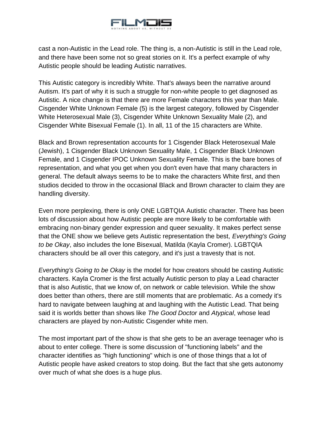

cast a non-Autistic in the Lead role. The thing is, a non-Autistic is still in the Lead role, and there have been some not so great stories on it. It's a perfect example of why Autistic people should be leading Autistic narratives.

This Autistic category is incredibly White. That's always been the narrative around Autism. It's part of why it is such a struggle for non-white people to get diagnosed as Autistic. A nice change is that there are more Female characters this year than Male. Cisgender White Unknown Female (5) is the largest category, followed by Cisgender White Heterosexual Male (3), Cisgender White Unknown Sexuality Male (2), and Cisgender White Bisexual Female (1). In all, 11 of the 15 characters are White.

Black and Brown representation accounts for 1 Cisgender Black Heterosexual Male (Jewish), 1 Cisgender Black Unknown Sexuality Male, 1 Cisgender Black Unknown Female, and 1 Cisgender IPOC Unknown Sexuality Female. This is the bare bones of representation, and what you get when you don't even have that many characters in general. The default always seems to be to make the characters White first, and then studios decided to throw in the occasional Black and Brown character to claim they are handling diversity.

Even more perplexing, there is only ONE LGBTQIA Autistic character. There has been lots of discussion about how Autistic people are more likely to be comfortable with embracing non-binary gender expression and queer sexuality. It makes perfect sense that the ONE show we believe gets Autistic representation the best, *Everything's Going to be Okay*, also includes the lone Bisexual, Matilda (Kayla Cromer). LGBTQIA characters should be all over this category, and it's just a travesty that is not.

*Everything's Going to be Okay* is the model for how creators should be casting Autistic characters. Kayla Cromer is the first actually Autistic person to play a Lead character that is also Autistic, that we know of, on network or cable television. While the show does better than others, there are still moments that are problematic. As a comedy it's hard to navigate between laughing at and laughing with the Autistic Lead. That being said it is worlds better than shows like *The Good Doctor* and *Atypical*, whose lead characters are played by non-Autistic Cisgender white men.

The most important part of the show is that she gets to be an average teenager who is about to enter college. There is some discussion of "functioning labels" and the character identifies as "high functioning" which is one of those things that a lot of Autistic people have asked creators to stop doing. But the fact that she gets autonomy over much of what she does is a huge plus.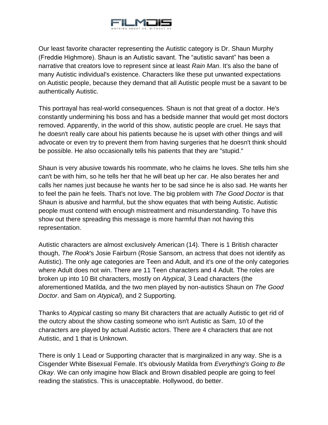

Our least favorite character representing the Autistic category is Dr. Shaun Murphy (Freddie Highmore). Shaun is an Autistic savant. The "autistic savant" has been a narrative that creators love to represent since at least *Rain Man*. It's also the bane of many Autistic individual's existence. Characters like these put unwanted expectations on Autistic people, because they demand that all Autistic people must be a savant to be authentically Autistic.

This portrayal has real-world consequences. Shaun is not that great of a doctor. He's constantly undermining his boss and has a bedside manner that would get most doctors removed. Apparently, in the world of this show, autistic people are cruel. He says that he doesn't really care about his patients because he is upset with other things and will advocate or even try to prevent them from having surgeries that he doesn't think should be possible. He also occasionally tells his patients that they are "stupid."

Shaun is very abusive towards his roommate, who he claims he loves. She tells him she can't be with him, so he tells her that he will beat up her car. He also berates her and calls her names just because he wants her to be sad since he is also sad. He wants her to feel the pain he feels. That's not love. The big problem with *The Good Doctor* is that Shaun is abusive and harmful, but the show equates that with being Autistic. Autistic people must contend with enough mistreatment and misunderstanding. To have this show out there spreading this message is more harmful than not having this representation.

Autistic characters are almost exclusively American (14). There is 1 British character though, *The Rook*'s Josie Fairburn (Rosie Sansom, an actress that does not identify as Autistic). The only age categories are Teen and Adult, and it's one of the only categories where Adult does not win. There are 11 Teen characters and 4 Adult. The roles are broken up into 10 Bit characters, mostly on *Atypical*, 3 Lead characters (the aforementioned Matilda, and the two men played by non-autistics Shaun on *The Good Doctor*. and Sam on *Atypical*), and 2 Supporting.

Thanks to *Atypical* casting so many Bit characters that are actually Autistic to get rid of the outcry about the show casting someone who isn't Autistic as Sam, 10 of the characters are played by actual Autistic actors. There are 4 characters that are not Autistic, and 1 that is Unknown.

There is only 1 Lead or Supporting character that is marginalized in any way. She is a Cisgender White Bisexual Female. It's obviously Matilda from *Everything's Going to Be Okay*. We can only imagine how Black and Brown disabled people are going to feel reading the statistics. This is unacceptable. Hollywood, do better.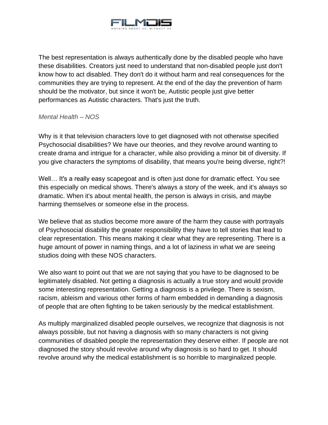

The best representation is always authentically done by the disabled people who have these disabilities. Creators just need to understand that non-disabled people just don't know how to act disabled. They don't do it without harm and real consequences for the communities they are trying to represent. At the end of the day the prevention of harm should be the motivator, but since it won't be, Autistic people just give better performances as Autistic characters. That's just the truth.

#### *Mental Health – NOS*

Why is it that television characters love to get diagnosed with not otherwise specified Psychosocial disabilities? We have our theories, and they revolve around wanting to create drama and intrigue for a character, while also providing a minor bit of diversity. If you give characters the symptoms of disability, that means you're being diverse, right?!

Well... It's a really easy scapegoat and is often just done for dramatic effect. You see this especially on medical shows. There's always a story of the week, and it's always so dramatic. When it's about mental health, the person is always in crisis, and maybe harming themselves or someone else in the process.

We believe that as studios become more aware of the harm they cause with portrayals of Psychosocial disability the greater responsibility they have to tell stories that lead to clear representation. This means making it clear what they are representing. There is a huge amount of power in naming things, and a lot of laziness in what we are seeing studios doing with these NOS characters.

We also want to point out that we are not saying that you have to be diagnosed to be legitimately disabled. Not getting a diagnosis is actually a true story and would provide some interesting representation. Getting a diagnosis is a privilege. There is sexism, racism, ableism and various other forms of harm embedded in demanding a diagnosis of people that are often fighting to be taken seriously by the medical establishment.

As multiply marginalized disabled people ourselves, we recognize that diagnosis is not always possible, but not having a diagnosis with so many characters is not giving communities of disabled people the representation they deserve either. If people are not diagnosed the story should revolve around why diagnosis is so hard to get. It should revolve around why the medical establishment is so horrible to marginalized people.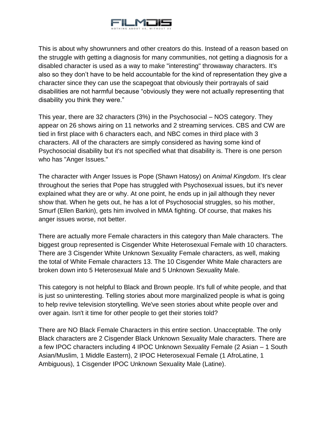

This is about why showrunners and other creators do this. Instead of a reason based on the struggle with getting a diagnosis for many communities, not getting a diagnosis for a disabled character is used as a way to make "interesting" throwaway characters. It's also so they don't have to be held accountable for the kind of representation they give a character since they can use the scapegoat that obviously their portrayals of said disabilities are not harmful because "obviously they were not actually representing that disability you think they were."

This year, there are 32 characters (3%) in the Psychosocial – NOS category. They appear on 26 shows airing on 11 networks and 2 streaming services. CBS and CW are tied in first place with 6 characters each, and NBC comes in third place with 3 characters. All of the characters are simply considered as having some kind of Psychosocial disability but it's not specified what that disability is. There is one person who has "Anger Issues."

The character with Anger Issues is Pope (Shawn Hatosy) on *Animal Kingdom*. It's clear throughout the series that Pope has struggled with Psychosexual issues, but it's never explained what they are or why. At one point, he ends up in jail although they never show that. When he gets out, he has a lot of Psychosocial struggles, so his mother, Smurf (Ellen Barkin), gets him involved in MMA fighting. Of course, that makes his anger issues worse, not better.

There are actually more Female characters in this category than Male characters. The biggest group represented is Cisgender White Heterosexual Female with 10 characters. There are 3 Cisgender White Unknown Sexuality Female characters, as well, making the total of White Female characters 13. The 10 Cisgender White Male characters are broken down into 5 Heterosexual Male and 5 Unknown Sexuality Male.

This category is not helpful to Black and Brown people. It's full of white people, and that is just so uninteresting. Telling stories about more marginalized people is what is going to help revive television storytelling. We've seen stories about white people over and over again. Isn't it time for other people to get their stories told?

There are NO Black Female Characters in this entire section. Unacceptable. The only Black characters are 2 Cisgender Black Unknown Sexuality Male characters. There are a few IPOC characters including 4 IPOC Unknown Sexuality Female (2 Asian – 1 South Asian/Muslim, 1 Middle Eastern), 2 IPOC Heterosexual Female (1 AfroLatine, 1 Ambiguous), 1 Cisgender IPOC Unknown Sexuality Male (Latine).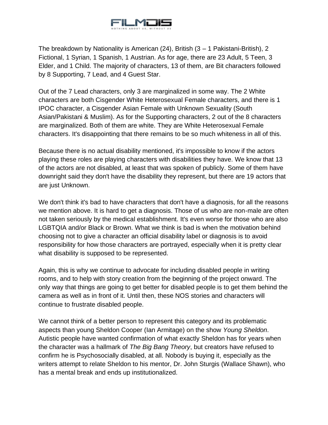

The breakdown by Nationality is American (24), British (3 – 1 Pakistani-British), 2 Fictional, 1 Syrian, 1 Spanish, 1 Austrian. As for age, there are 23 Adult, 5 Teen, 3 Elder, and 1 Child. The majority of characters, 13 of them, are Bit characters followed by 8 Supporting, 7 Lead, and 4 Guest Star.

Out of the 7 Lead characters, only 3 are marginalized in some way. The 2 White characters are both Cisgender White Heterosexual Female characters, and there is 1 IPOC character, a Cisgender Asian Female with Unknown Sexuality (South Asian/Pakistani & Muslim). As for the Supporting characters, 2 out of the 8 characters are marginalized. Both of them are white. They are White Heterosexual Female characters. It's disappointing that there remains to be so much whiteness in all of this.

Because there is no actual disability mentioned, it's impossible to know if the actors playing these roles are playing characters with disabilities they have. We know that 13 of the actors are not disabled, at least that was spoken of publicly. Some of them have downright said they don't have the disability they represent, but there are 19 actors that are just Unknown.

We don't think it's bad to have characters that don't have a diagnosis, for all the reasons we mention above. It is hard to get a diagnosis. Those of us who are non-male are often not taken seriously by the medical establishment. It's even worse for those who are also LGBTQIA and/or Black or Brown. What we think is bad is when the motivation behind choosing not to give a character an official disability label or diagnosis is to avoid responsibility for how those characters are portrayed, especially when it is pretty clear what disability is supposed to be represented.

Again, this is why we continue to advocate for including disabled people in writing rooms, and to help with story creation from the beginning of the project onward. The only way that things are going to get better for disabled people is to get them behind the camera as well as in front of it. Until then, these NOS stories and characters will continue to frustrate disabled people.

We cannot think of a better person to represent this category and its problematic aspects than young Sheldon Cooper (Ian Armitage) on the show *Young Sheldon*. Autistic people have wanted confirmation of what exactly Sheldon has for years when the character was a hallmark of *The Big Bang Theory*, but creators have refused to confirm he is Psychosocially disabled, at all. Nobody is buying it, especially as the writers attempt to relate Sheldon to his mentor, Dr. John Sturgis (Wallace Shawn), who has a mental break and ends up institutionalized.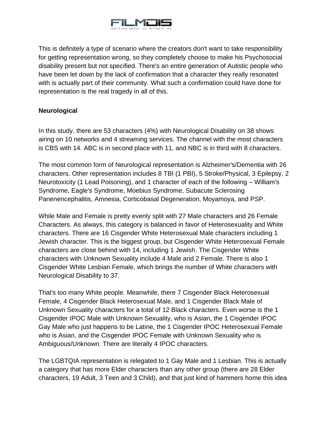

This is definitely a type of scenario where the creators don't want to take responsibility for getting representation wrong, so they completely choose to make his Psychosocial disability present but not specified. There's an entire generation of Autistic people who have been let down by the lack of confirmation that a character they really resonated with is actually part of their community. What such a confirmation could have done for representation is the real tragedy in all of this.

## **Neurological**

In this study, there are 53 characters (4%) with Neurological Disability on 38 shows airing on 10 networks and 4 streaming services. The channel with the most characters is CBS with 14. ABC is in second place with 11, and NBC is in third with 8 characters.

The most common form of Neurological representation is Alzheimer's/Dementia with 26 characters. Other representation includes 8 TBI (1 PBI), 5 Stroke/Physical, 3 Epilepsy, 2 Neurotoxicity (1 Lead Poisoning), and 1 character of each of the following – William's Syndrome, Eagle's Syndrome, Moebius Syndrome, Subacute Sclerosing Panenencephalitis, Amnesia, Corticobasal Degeneration, Moyamoya, and PSP.

While Male and Female is pretty evenly split with 27 Male characters and 26 Female Characters. As always, this category is balanced in favor of Heterosexuality and White characters. There are 16 Cisgender White Heterosexual Male characters including 1 Jewish character. This is the biggest group, but Cisgender White Heterosexual Female characters are close behind with 14, including 1 Jewish. The Cisgender White characters with Unknown Sexuality include 4 Male and 2 Female. There is also 1 Cisgender White Lesbian Female, which brings the number of White characters with Neurological Disability to 37.

That's too many White people. Meanwhile, there 7 Cisgender Black Heterosexual Female, 4 Cisgender Black Heterosexual Male, and 1 Cisgender Black Male of Unknown Sexuality characters for a total of 12 Black characters. Even worse is the 1 Cisgender IPOC Male with Unknown Sexuality, who is Asian, the 1 Cisgender IPOC Gay Male who just happens to be Latine, the 1 Cisgender IPOC Heterosexual Female who is Asian, and the Cisgender IPOC Female with Unknown Sexuality who is Ambiguous/Unknown. There are literally 4 IPOC characters.

The LGBTQIA representation is relegated to 1 Gay Male and 1 Lesbian. This is actually a category that has more Elder characters than any other group (there are 28 Elder characters, 19 Adult, 3 Teen and 3 Child), and that just kind of hammers home this idea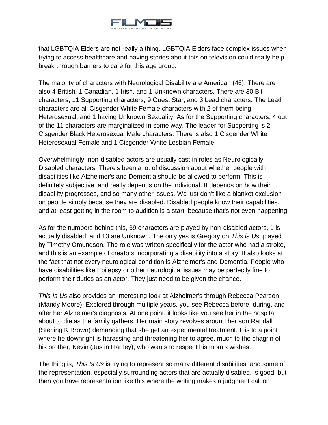

that LGBTQIA Elders are not really a thing. LGBTQIA Elders face complex issues when trying to access healthcare and having stories about this on television could really help break through barriers to care for this age group.

The majority of characters with Neurological Disability are American (46). There are also 4 British, 1 Canadian, 1 Irish, and 1 Unknown characters. There are 30 Bit characters, 11 Supporting characters, 9 Guest Star, and 3 Lead characters. The Lead characters are all Cisgender White Female characters with 2 of them being Heterosexual, and 1 having Unknown Sexuality. As for the Supporting characters, 4 out of the 11 characters are marginalized in some way. The leader for Supporting is 2 Cisgender Black Heterosexual Male characters. There is also 1 Cisgender White Heterosexual Female and 1 Cisgender White Lesbian Female.

Overwhelmingly, non-disabled actors are usually cast in roles as Neurologically Disabled characters. There's been a lot of discussion about whether people with disabilities like Alzheimer's and Dementia should be allowed to perform. This is definitely subjective, and really depends on the individual. It depends on how their disability progresses, and so many other issues. We just don't like a blanket exclusion on people simply because they are disabled. Disabled people know their capabilities, and at least getting in the room to audition is a start, because that's not even happening.

As for the numbers behind this, 39 characters are played by non-disabled actors, 1 is actually disabled, and 13 are Unknown. The only yes is Gregory on *This is Us*, played by Timothy Omundson. The role was written specifically for the actor who had a stroke, and this is an example of creators incorporating a disability into a story. It also looks at the fact that not every neurological condition is Alzheimer's and Dementia. People who have disabilities like Epilepsy or other neurological issues may be perfectly fine to perform their duties as an actor. They just need to be given the chance.

*This Is Us* also provides an interesting look at Alzheimer's through Rebecca Pearson (Mandy Moore). Explored through multiple years, you see Rebecca before, during, and after her Alzheimer's diagnosis. At one point, it looks like you see her in the hospital about to die as the family gathers. Her main story revolves around her son Randall (Sterling K Brown) demanding that she get an experimental treatment. It is to a point where he downright is harassing and threatening her to agree, much to the chagrin of his brother, Kevin (Justin Hartley), who wants to respect his mom's wishes.

The thing is, *This Is Us* is trying to represent so many different disabilities, and some of the representation, especially surrounding actors that are actually disabled, is good, but then you have representation like this where the writing makes a judgment call on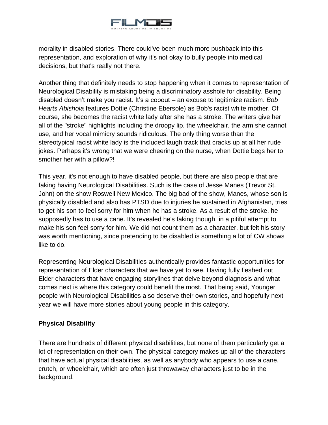

morality in disabled stories. There could've been much more pushback into this representation, and exploration of why it's not okay to bully people into medical decisions, but that's really not there.

Another thing that definitely needs to stop happening when it comes to representation of Neurological Disability is mistaking being a discriminatory asshole for disability. Being disabled doesn't make you racist. It's a copout – an excuse to legitimize racism. *Bob Hearts Abishola* features Dottie (Christine Ebersole) as Bob's racist white mother. Of course, she becomes the racist white lady after she has a stroke. The writers give her all of the "stroke" highlights including the droopy lip, the wheelchair, the arm she cannot use, and her vocal mimicry sounds ridiculous. The only thing worse than the stereotypical racist white lady is the included laugh track that cracks up at all her rude jokes. Perhaps it's wrong that we were cheering on the nurse, when Dottie begs her to smother her with a pillow?!

This year, it's not enough to have disabled people, but there are also people that are faking having Neurological Disabilities. Such is the case of Jesse Manes (Trevor St. John) on the show Roswell New Mexico. The big bad of the show, Manes, whose son is physically disabled and also has PTSD due to injuries he sustained in Afghanistan, tries to get his son to feel sorry for him when he has a stroke. As a result of the stroke, he supposedly has to use a cane. It's revealed he's faking though, in a pitiful attempt to make his son feel sorry for him. We did not count them as a character, but felt his story was worth mentioning, since pretending to be disabled is something a lot of CW shows like to do.

Representing Neurological Disabilities authentically provides fantastic opportunities for representation of Elder characters that we have yet to see. Having fully fleshed out Elder characters that have engaging storylines that delve beyond diagnosis and what comes next is where this category could benefit the most. That being said, Younger people with Neurological Disabilities also deserve their own stories, and hopefully next year we will have more stories about young people in this category.

### **Physical Disability**

There are hundreds of different physical disabilities, but none of them particularly get a lot of representation on their own. The physical category makes up all of the characters that have actual physical disabilities, as well as anybody who appears to use a cane, crutch, or wheelchair, which are often just throwaway characters just to be in the background.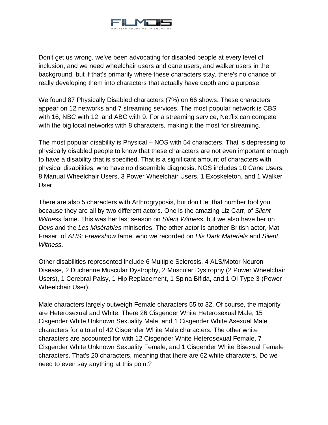

Don't get us wrong, we've been advocating for disabled people at every level of inclusion, and we need wheelchair users and cane users, and walker users in the background, but if that's primarily where these characters stay, there's no chance of really developing them into characters that actually have depth and a purpose.

We found 87 Physically Disabled characters (7%) on 66 shows. These characters appear on 12 networks and 7 streaming services. The most popular network is CBS with 16, NBC with 12, and ABC with 9. For a streaming service, Netflix can compete with the big local networks with 8 characters, making it the most for streaming.

The most popular disability is Physical – NOS with 54 characters. That is depressing to physically disabled people to know that these characters are not even important enough to have a disability that is specified. That is a significant amount of characters with physical disabilities, who have no discernible diagnosis. NOS includes 10 Cane Users, 8 Manual Wheelchair Users, 3 Power Wheelchair Users, 1 Exoskeleton, and 1 Walker User.

There are also 5 characters with Arthrogryposis, but don't let that number fool you because they are all by two different actors. One is the amazing Liz Carr, of *Silent Witness* fame. This was her last season on *Silent Witness*, but we also have her on *Devs* and the *Les Misérables* miniseries. The other actor is another British actor, Mat Fraser, of *AHS: Freakshow* fame, who we recorded on *His Dark Materials* and *Silent Witness*.

Other disabilities represented include 6 Multiple Sclerosis, 4 ALS/Motor Neuron Disease, 2 Duchenne Muscular Dystrophy, 2 Muscular Dystrophy (2 Power Wheelchair Users), 1 Cerebral Palsy, 1 Hip Replacement, 1 Spina Bifida, and 1 OI Type 3 (Power Wheelchair User),

Male characters largely outweigh Female characters 55 to 32. Of course, the majority are Heterosexual and White. There 26 Cisgender White Heterosexual Male, 15 Cisgender White Unknown Sexuality Male, and 1 Cisgender White Asexual Male characters for a total of 42 Cisgender White Male characters. The other white characters are accounted for with 12 Cisgender White Heterosexual Female, 7 Cisgender White Unknown Sexuality Female, and 1 Cisgender White Bisexual Female characters. That's 20 characters, meaning that there are 62 white characters. Do we need to even say anything at this point?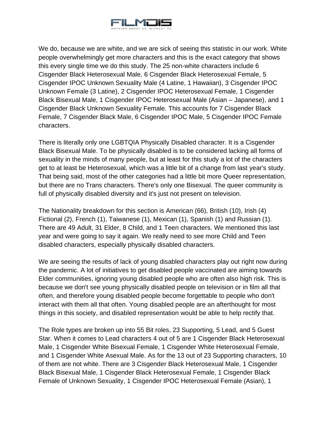

We do, because we are white, and we are sick of seeing this statistic in our work. White people overwhelmingly get more characters and this is the exact category that shows this every single time we do this study. The 25 non-white characters include 6 Cisgender Black Heterosexual Male, 6 Cisgender Black Heterosexual Female, 5 Cisgender IPOC Unknown Sexuality Male (4 Latine, 1 Hawaiian), 3 Cisgender IPOC Unknown Female (3 Latine), 2 Cisgender IPOC Heterosexual Female, 1 Cisgender Black Bisexual Male, 1 Cisgender IPOC Heterosexual Male (Asian – Japanese), and 1 Cisgender Black Unknown Sexuality Female. This accounts for 7 Cisgender Black Female, 7 Cisgender Black Male, 6 Cisgender IPOC Male, 5 Cisgender IPOC Female characters.

There is literally only one LGBTQIA Physically Disabled character. It is a Cisgender Black Bisexual Male. To be physically disabled is to be considered lacking all forms of sexuality in the minds of many people, but at least for this study a lot of the characters get to at least be Heterosexual, which was a little bit of a change from last year's study. That being said, most of the other categories had a little bit more Queer representation, but there are no Trans characters. There's only one Bisexual. The queer community is full of physically disabled diversity and it's just not present on television.

The Nationality breakdown for this section is American (66), British (10), Irish (4) Fictional (2), French (1), Taiwanese (1), Mexican (1), Spanish (1) and Russian (1). There are 49 Adult, 31 Elder, 8 Child, and 1 Teen characters. We mentioned this last year and were going to say it again. We really need to see more Child and Teen disabled characters, especially physically disabled characters.

We are seeing the results of lack of young disabled characters play out right now during the pandemic. A lot of initiatives to get disabled people vaccinated are aiming towards Elder communities, ignoring young disabled people who are often also high risk. This is because we don't see young physically disabled people on television or in film all that often, and therefore young disabled people become forgettable to people who don't interact with them all that often. Young disabled people are an afterthought for most things in this society, and disabled representation would be able to help rectify that.

The Role types are broken up into 55 Bit roles, 23 Supporting, 5 Lead, and 5 Guest Star. When it comes to Lead characters 4 out of 5 are 1 Cisgender Black Heterosexual Male, 1 Cisgender White Bisexual Female, 1 Cisgender White Heterosexual Female, and 1 Cisgender White Asexual Male. As for the 13 out of 23 Supporting characters, 10 of them are not white. There are 3 Cisgender Black Heterosexual Male, 1 Cisgender Black Bisexual Male, 1 Cisgender Black Heterosexual Female, 1 Cisgender Black Female of Unknown Sexuality, 1 Cisgender IPOC Heterosexual Female (Asian), 1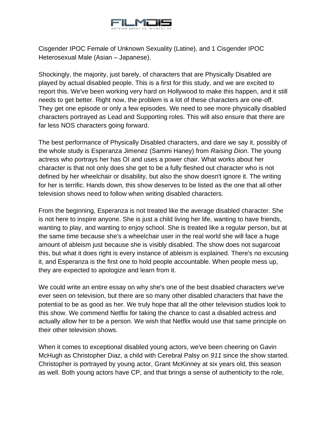

Cisgender IPOC Female of Unknown Sexuality (Latine), and 1 Cisgender IPOC Heterosexual Male (Asian – Japanese).

Shockingly, the majority, just barely, of characters that are Physically Disabled are played by actual disabled people. This is a first for this study, and we are excited to report this. We've been working very hard on Hollywood to make this happen, and it still needs to get better. Right now, the problem is a lot of these characters are one-off. They get one episode or only a few episodes. We need to see more physically disabled characters portrayed as Lead and Supporting roles. This will also ensure that there are far less NOS characters going forward.

The best performance of Physically Disabled characters, and dare we say it, possibly of the whole study is Esperanza Jimenez (Sammi Haney) from *Raising Dion*. The young actress who portrays her has OI and uses a power chair. What works about her character is that not only does she get to be a fully fleshed out character who is not defined by her wheelchair or disability, but also the show doesn't ignore it. The writing for her is terrific. Hands down, this show deserves to be listed as the one that all other television shows need to follow when writing disabled characters.

From the beginning, Esperanza is not treated like the average disabled character. She is not here to inspire anyone. She is just a child living her life, wanting to have friends, wanting to play, and wanting to enjoy school. She is treated like a regular person, but at the same time because she's a wheelchair user in the real world she will face a huge amount of ableism just because she is visibly disabled. The show does not sugarcoat this, but what it does right is every instance of ableism is explained. There's no excusing it, and Esperanza is the first one to hold people accountable. When people mess up, they are expected to apologize and learn from it.

We could write an entire essay on why she's one of the best disabled characters we've ever seen on television, but there are so many other disabled characters that have the potential to be as good as her. We truly hope that all the other television studios look to this show. We commend Netflix for taking the chance to cast a disabled actress and actually allow her to be a person. We wish that Netflix would use that same principle on their other television shows.

When it comes to exceptional disabled young actors, we've been cheering on Gavin McHugh as Christopher Diaz, a child with Cerebral Palsy on *911* since the show started. Christopher is portrayed by young actor, Grant McKinney at six years old, this season as well. Both young actors have CP, and that brings a sense of authenticity to the role,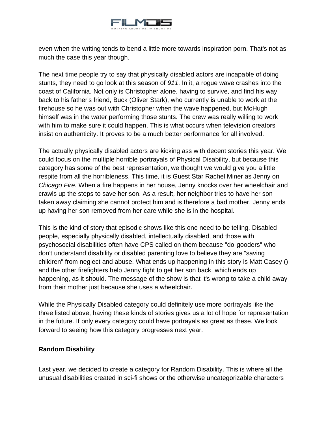

even when the writing tends to bend a little more towards inspiration porn. That's not as much the case this year though.

The next time people try to say that physically disabled actors are incapable of doing stunts, they need to go look at this season of *911*. In it, a rogue wave crashes into the coast of California. Not only is Christopher alone, having to survive, and find his way back to his father's friend, Buck (Oliver Stark), who currently is unable to work at the firehouse so he was out with Christopher when the wave happened, but McHugh himself was in the water performing those stunts. The crew was really willing to work with him to make sure it could happen. This is what occurs when television creators insist on authenticity. It proves to be a much better performance for all involved.

The actually physically disabled actors are kicking ass with decent stories this year. We could focus on the multiple horrible portrayals of Physical Disability, but because this category has some of the best representation, we thought we would give you a little respite from all the horribleness. This time, it is Guest Star Rachel Miner as Jenny on *Chicago Fire*. When a fire happens in her house, Jenny knocks over her wheelchair and crawls up the steps to save her son. As a result, her neighbor tries to have her son taken away claiming she cannot protect him and is therefore a bad mother. Jenny ends up having her son removed from her care while she is in the hospital.

This is the kind of story that episodic shows like this one need to be telling. Disabled people, especially physically disabled, intellectually disabled, and those with psychosocial disabilities often have CPS called on them because "do-gooders" who don't understand disability or disabled parenting love to believe they are "saving children" from neglect and abuse. What ends up happening in this story is Matt Casey () and the other firefighters help Jenny fight to get her son back, which ends up happening, as it should. The message of the show is that it's wrong to take a child away from their mother just because she uses a wheelchair.

While the Physically Disabled category could definitely use more portrayals like the three listed above, having these kinds of stories gives us a lot of hope for representation in the future. If only every category could have portrayals as great as these. We look forward to seeing how this category progresses next year.

### **Random Disability**

Last year, we decided to create a category for Random Disability. This is where all the unusual disabilities created in sci-fi shows or the otherwise uncategorizable characters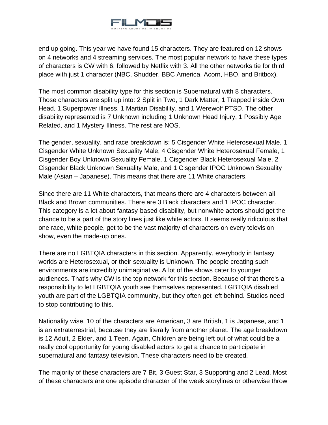

end up going. This year we have found 15 characters. They are featured on 12 shows on 4 networks and 4 streaming services. The most popular network to have these types of characters is CW with 6, followed by Netflix with 3. All the other networks tie for third place with just 1 character (NBC, Shudder, BBC America, Acorn, HBO, and Britbox).

The most common disability type for this section is Supernatural with 8 characters. Those characters are split up into: 2 Split in Two, 1 Dark Matter, 1 Trapped inside Own Head, 1 Superpower illness, 1 Martian Disability, and 1 Werewolf PTSD. The other disability represented is 7 Unknown including 1 Unknown Head Injury, 1 Possibly Age Related, and 1 Mystery Illness. The rest are NOS.

The gender, sexuality, and race breakdown is: 5 Cisgender White Heterosexual Male, 1 Cisgender White Unknown Sexuality Male, 4 Cisgender White Heterosexual Female, 1 Cisgender Boy Unknown Sexuality Female, 1 Cisgender Black Heterosexual Male, 2 Cisgender Black Unknown Sexuality Male, and 1 Cisgender IPOC Unknown Sexuality Male (Asian – Japanese). This means that there are 11 White characters.

Since there are 11 White characters, that means there are 4 characters between all Black and Brown communities. There are 3 Black characters and 1 IPOC character. This category is a lot about fantasy-based disability, but nonwhite actors should get the chance to be a part of the story lines just like white actors. It seems really ridiculous that one race, white people, get to be the vast majority of characters on every television show, even the made-up ones.

There are no LGBTQIA characters in this section. Apparently, everybody in fantasy worlds are Heterosexual, or their sexuality is Unknown. The people creating such environments are incredibly unimaginative. A lot of the shows cater to younger audiences. That's why CW is the top network for this section. Because of that there's a responsibility to let LGBTQIA youth see themselves represented. LGBTQIA disabled youth are part of the LGBTQIA community, but they often get left behind. Studios need to stop contributing to this.

Nationality wise, 10 of the characters are American, 3 are British, 1 is Japanese, and 1 is an extraterrestrial, because they are literally from another planet. The age breakdown is 12 Adult, 2 Elder, and 1 Teen. Again, Children are being left out of what could be a really cool opportunity for young disabled actors to get a chance to participate in supernatural and fantasy television. These characters need to be created.

The majority of these characters are 7 Bit, 3 Guest Star, 3 Supporting and 2 Lead. Most of these characters are one episode character of the week storylines or otherwise throw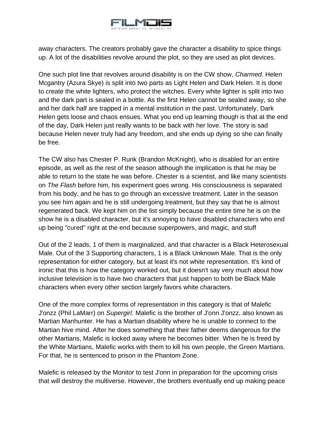

away characters. The creators probably gave the character a disability to spice things up. A lot of the disabilities revolve around the plot, so they are used as plot devices.

One such plot line that revolves around disability is on the CW show, *Charmed*. Helen Mcgantry (Azura Skye) is split into two parts as Light Helen and Dark Helen. It is done to create the white lighters, who protect the witches. Every white lighter is split into two and the dark part is sealed in a bottle. As the first Helen cannot be sealed away, so she and her dark half are trapped in a mental institution in the past. Unfortunately, Dark Helen gets loose and chaos ensues. What you end up learning though is that at the end of the day, Dark Helen just really wants to be back with her love. The story is sad because Helen never truly had any freedom, and she ends up dying so she can finally be free.

The CW also has Chester P. Runk (Brandon McKnight), who is disabled for an entire episode, as well as the rest of the season although the implication is that he may be able to return to the state he was before. Chester is a scientist, and like many scientists on *The Flash* before him, his experiment goes wrong. His consciousness is separated from his body, and he has to go through an excessive treatment. Later in the season you see him again and he is still undergoing treatment, but they say that he is almost regenerated back. We kept him on the list simply because the entire time he is on the show he is a disabled character, but it's annoying to have disabled characters who end up being "cured" right at the end because superpowers, and magic, and stuff

Out of the 2 leads, 1 of them is marginalized, and that character is a Black Heterosexual Male. Out of the 3 Supporting characters, 1 is a Black Unknown Male. That is the only representation for either category, but at least it's not white representation. It's kind of ironic that this is how the category worked out, but it doesn't say very much about how inclusive television is to have two characters that just happen to both be Black Male characters when every other section largely favors white characters.

One of the more complex forms of representation in this category is that of Malefic J'onzz (Phil LaMarr) on *Supergirl*. Malefic is the brother of J'onn J'onzz, also known as Martian Manhunter. He has a Martian disability where he is unable to connect to the Martian hive mind. After he does something that their father deems dangerous for the other Martians, Malefic is locked away where he becomes bitter. When he is freed by the White Martians, Malefic works with them to kill his own people, the Green Martians. For that, he is sentenced to prison in the Phantom Zone.

Malefic is released by the Monitor to test J'onn in preparation for the upcoming crisis that will destroy the multiverse. However, the brothers eventually end up making peace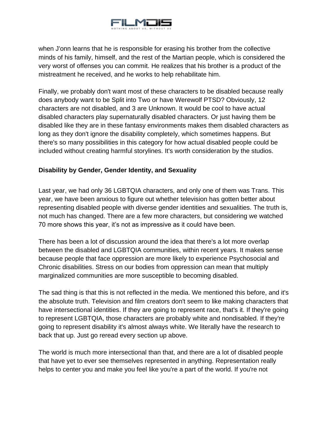

when J'onn learns that he is responsible for erasing his brother from the collective minds of his family, himself, and the rest of the Martian people, which is considered the very worst of offenses you can commit. He realizes that his brother is a product of the mistreatment he received, and he works to help rehabilitate him.

Finally, we probably don't want most of these characters to be disabled because really does anybody want to be Split into Two or have Werewolf PTSD? Obviously, 12 characters are not disabled, and 3 are Unknown. It would be cool to have actual disabled characters play supernaturally disabled characters. Or just having them be disabled like they are in these fantasy environments makes them disabled characters as long as they don't ignore the disability completely, which sometimes happens. But there's so many possibilities in this category for how actual disabled people could be included without creating harmful storylines. It's worth consideration by the studios.

# **Disability by Gender, Gender Identity, and Sexuality**

Last year, we had only 36 LGBTQIA characters, and only one of them was Trans. This year, we have been anxious to figure out whether television has gotten better about representing disabled people with diverse gender identities and sexualities. The truth is, not much has changed. There are a few more characters, but considering we watched 70 more shows this year, it's not as impressive as it could have been.

There has been a lot of discussion around the idea that there's a lot more overlap between the disabled and LGBTQIA communities, within recent years. It makes sense because people that face oppression are more likely to experience Psychosocial and Chronic disabilities. Stress on our bodies from oppression can mean that multiply marginalized communities are more susceptible to becoming disabled.

The sad thing is that this is not reflected in the media. We mentioned this before, and it's the absolute truth. Television and film creators don't seem to like making characters that have intersectional identities. If they are going to represent race, that's it. If they're going to represent LGBTQIA, those characters are probably white and nondisabled. If they're going to represent disability it's almost always white. We literally have the research to back that up. Just go reread every section up above.

The world is much more intersectional than that, and there are a lot of disabled people that have yet to ever see themselves represented in anything. Representation really helps to center you and make you feel like you're a part of the world. If you're not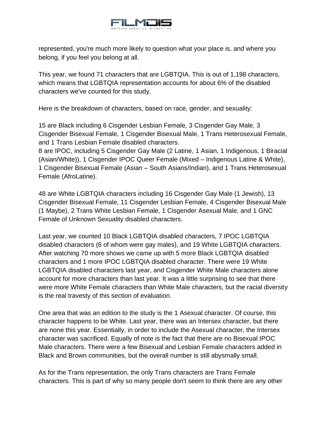

represented, you're much more likely to question what your place is, and where you belong, if you feel you belong at all.

This year, we found 71 characters that are LGBTQIA. This is out of 1,198 characters, which means that LGBTQIA representation accounts for about 6% of the disabled characters we've counted for this study.

Here is the breakdown of characters, based on race, gender, and sexuality:

15 are Black including 6 Cisgender Lesbian Female, 3 Cisgender Gay Male, 3 Cisgender Bisexual Female, 1 Cisgender Bisexual Male, 1 Trans Heterosexual Female, and 1 Trans Lesbian Female disabled characters.

8 are IPOC, including 5 Cisgender Gay Male (2 Latine, 1 Asian, 1 Indigenous, 1 Biracial (Asian/White)), 1 Cisgender IPOC Queer Female (Mixed – Indigenous Latine & White), 1 Cisgender Bisexual Female (Asian – South Asians/Indian), and 1 Trans Heterosexual Female (AfroLatine).

48 are White LGBTQIA characters including 16 Cisgender Gay Male (1 Jewish), 13 Cisgender Bisexual Female, 11 Cisgender Lesbian Female, 4 Cisgender Bisexual Male (1 Maybe), 2 Trans White Lesbian Female, 1 Cisgender Asexual Male, and 1 GNC Female of Unknown Sexuality disabled characters.

Last year, we counted 10 Black LGBTQIA disabled characters, 7 IPOC LGBTQIA disabled characters (6 of whom were gay males), and 19 White LGBTQIA characters. After watching 70 more shows we came up with 5 more Black LGBTQIA disabled characters and 1 more IPOC LGBTQIA disabled character. There were 19 White LGBTQIA disabled characters last year, and Cisgender White Male characters alone account for more characters than last year. It was a little surprising to see that there were more White Female characters than White Male characters, but the racial diversity is the real travesty of this section of evaluation.

One area that was an edition to the study is the 1 Asexual character. Of course, this character happens to be White. Last year, there was an Intersex character, but there are none this year. Essentially, in order to include the Asexual character, the Intersex character was sacrificed. Equally of note is the fact that there are no Bisexual IPOC Male characters. There were a few Bisexual and Lesbian Female characters added in Black and Brown communities, but the overall number is still abysmally small.

As for the Trans representation, the only Trans characters are Trans Female characters. This is part of why so many people don't seem to think there are any other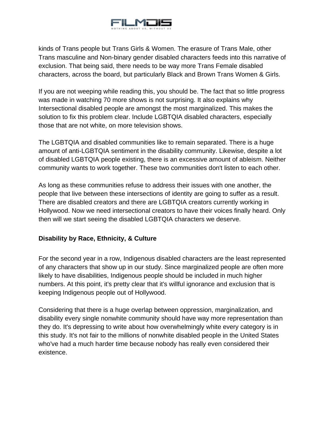

kinds of Trans people but Trans Girls & Women. The erasure of Trans Male, other Trans masculine and Non-binary gender disabled characters feeds into this narrative of exclusion. That being said, there needs to be way more Trans Female disabled characters, across the board, but particularly Black and Brown Trans Women & Girls.

If you are not weeping while reading this, you should be. The fact that so little progress was made in watching 70 more shows is not surprising. It also explains why Intersectional disabled people are amongst the most marginalized. This makes the solution to fix this problem clear. Include LGBTQIA disabled characters, especially those that are not white, on more television shows.

The LGBTQIA and disabled communities like to remain separated. There is a huge amount of anti-LGBTQIA sentiment in the disability community. Likewise, despite a lot of disabled LGBTQIA people existing, there is an excessive amount of ableism. Neither community wants to work together. These two communities don't listen to each other.

As long as these communities refuse to address their issues with one another, the people that live between these intersections of identity are going to suffer as a result. There are disabled creators and there are LGBTQIA creators currently working in Hollywood. Now we need intersectional creators to have their voices finally heard. Only then will we start seeing the disabled LGBTQIA characters we deserve.

# **Disability by Race, Ethnicity, & Culture**

For the second year in a row, Indigenous disabled characters are the least represented of any characters that show up in our study. Since marginalized people are often more likely to have disabilities, Indigenous people should be included in much higher numbers. At this point, it's pretty clear that it's willful ignorance and exclusion that is keeping Indigenous people out of Hollywood.

Considering that there is a huge overlap between oppression, marginalization, and disability every single nonwhite community should have way more representation than they do. It's depressing to write about how overwhelmingly white every category is in this study. It's not fair to the millions of nonwhite disabled people in the United States who've had a much harder time because nobody has really even considered their existence.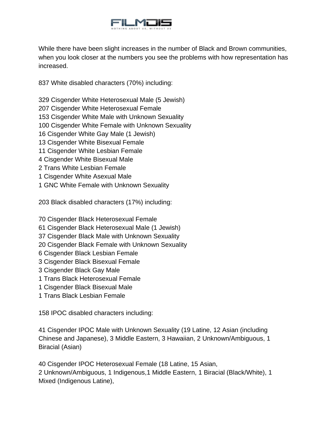

While there have been slight increases in the number of Black and Brown communities, when you look closer at the numbers you see the problems with how representation has increased.

837 White disabled characters (70%) including:

329 Cisgender White Heterosexual Male (5 Jewish)

- 207 Cisgender White Heterosexual Female
- 153 Cisgender White Male with Unknown Sexuality
- 100 Cisgender White Female with Unknown Sexuality
- 16 Cisgender White Gay Male (1 Jewish)
- 13 Cisgender White Bisexual Female
- 11 Cisgender White Lesbian Female
- 4 Cisgender White Bisexual Male
- 2 Trans White Lesbian Female
- 1 Cisgender White Asexual Male
- 1 GNC White Female with Unknown Sexuality

203 Black disabled characters (17%) including:

70 Cisgender Black Heterosexual Female

- 61 Cisgender Black Heterosexual Male (1 Jewish)
- 37 Cisgender Black Male with Unknown Sexuality
- 20 Cisgender Black Female with Unknown Sexuality
- 6 Cisgender Black Lesbian Female
- 3 Cisgender Black Bisexual Female
- 3 Cisgender Black Gay Male
- 1 Trans Black Heterosexual Female
- 1 Cisgender Black Bisexual Male
- 1 Trans Black Lesbian Female

158 IPOC disabled characters including:

41 Cisgender IPOC Male with Unknown Sexuality (19 Latine, 12 Asian (including Chinese and Japanese), 3 Middle Eastern, 3 Hawaiian, 2 Unknown/Ambiguous, 1 Biracial (Asian)

40 Cisgender IPOC Heterosexual Female (18 Latine, 15 Asian, 2 Unknown/Ambiguous, 1 Indigenous,1 Middle Eastern, 1 Biracial (Black/White), 1 Mixed (Indigenous Latine),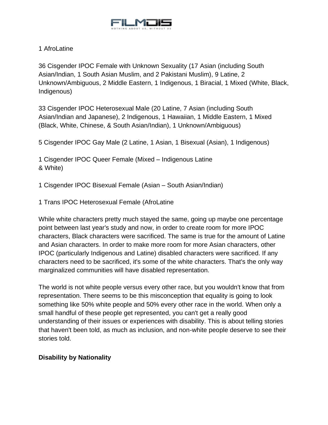

## 1 AfroLatine

36 Cisgender IPOC Female with Unknown Sexuality (17 Asian (including South Asian/Indian, 1 South Asian Muslim, and 2 Pakistani Muslim), 9 Latine, 2 Unknown/Ambiguous, 2 Middle Eastern, 1 Indigenous, 1 Biracial, 1 Mixed (White, Black, Indigenous)

33 Cisgender IPOC Heterosexual Male (20 Latine, 7 Asian (including South Asian/Indian and Japanese), 2 Indigenous, 1 Hawaiian, 1 Middle Eastern, 1 Mixed (Black, White, Chinese, & South Asian/Indian), 1 Unknown/Ambiguous)

5 Cisgender IPOC Gay Male (2 Latine, 1 Asian, 1 Bisexual (Asian), 1 Indigenous)

1 Cisgender IPOC Queer Female (Mixed – Indigenous Latine & White)

1 Cisgender IPOC Bisexual Female (Asian – South Asian/Indian)

1 Trans IPOC Heterosexual Female (AfroLatine

While white characters pretty much stayed the same, going up maybe one percentage point between last year's study and now, in order to create room for more IPOC characters, Black characters were sacrificed. The same is true for the amount of Latine and Asian characters. In order to make more room for more Asian characters, other IPOC (particularly Indigenous and Latine) disabled characters were sacrificed. If any characters need to be sacrificed, it's some of the white characters. That's the only way marginalized communities will have disabled representation.

The world is not white people versus every other race, but you wouldn't know that from representation. There seems to be this misconception that equality is going to look something like 50% white people and 50% every other race in the world. When only a small handful of these people get represented, you can't get a really good understanding of their issues or experiences with disability. This is about telling stories that haven't been told, as much as inclusion, and non-white people deserve to see their stories told.

### **Disability by Nationality**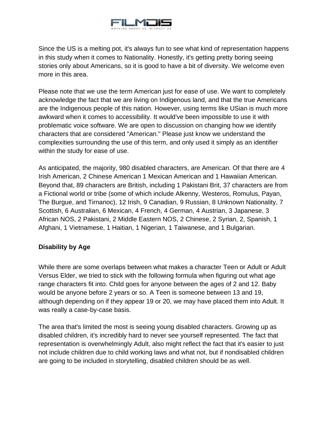

Since the US is a melting pot, it's always fun to see what kind of representation happens in this study when it comes to Nationality. Honestly, it's getting pretty boring seeing stories only about Americans, so it is good to have a bit of diversity. We welcome even more in this area.

Please note that we use the term American just for ease of use. We want to completely acknowledge the fact that we are living on Indigenous land, and that the true Americans are the Indigenous people of this nation. However, using terms like USian is much more awkward when it comes to accessibility. It would've been impossible to use it with problematic voice software. We are open to discussion on changing how we identify characters that are considered "American." Please just know we understand the complexities surrounding the use of this term, and only used it simply as an identifier within the study for ease of use.

As anticipated, the majority, 980 disabled characters, are American. Of that there are 4 Irish American, 2 Chinese American 1 Mexican American and 1 Hawaiian American. Beyond that, 89 characters are British, including 1 Pakistani Brit, 37 characters are from a Fictional world or tribe (some of which include Alkenny, Westeros, Romulus, Payan, The Burgue, and Tirnanoc), 12 Irish, 9 Canadian, 9 Russian, 8 Unknown Nationality, 7 Scottish, 6 Australian, 6 Mexican, 4 French, 4 German, 4 Austrian, 3 Japanese, 3 African NOS, 2 Pakistani, 2 Middle Eastern NOS, 2 Chinese, 2 Syrian, 2, Spanish, 1 Afghani, 1 Vietnamese, 1 Haitian, 1 Nigerian, 1 Taiwanese, and 1 Bulgarian.

### **Disability by Age**

While there are some overlaps between what makes a character Teen or Adult or Adult Versus Elder, we tried to stick with the following formula when figuring out what age range characters fit into. Child goes for anyone between the ages of 2 and 12. Baby would be anyone before 2 years or so. A Teen is someone between 13 and 19, although depending on if they appear 19 or 20, we may have placed them into Adult. It was really a case-by-case basis.

The area that's limited the most is seeing young disabled characters. Growing up as disabled children, it's incredibly hard to never see yourself represented. The fact that representation is overwhelmingly Adult, also might reflect the fact that it's easier to just not include children due to child working laws and what not, but if nondisabled children are going to be included in storytelling, disabled children should be as well.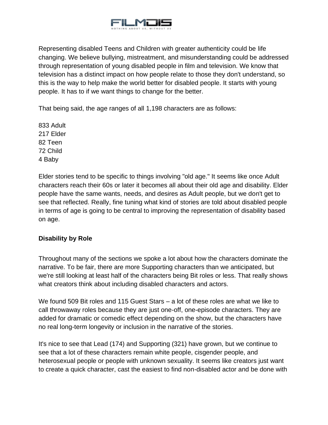

Representing disabled Teens and Children with greater authenticity could be life changing. We believe bullying, mistreatment, and misunderstanding could be addressed through representation of young disabled people in film and television. We know that television has a distinct impact on how people relate to those they don't understand, so this is the way to help make the world better for disabled people. It starts with young people. It has to if we want things to change for the better.

That being said, the age ranges of all 1,198 characters are as follows:

833 Adult 217 Elder 82 Teen 72 Child 4 Baby

Elder stories tend to be specific to things involving "old age." It seems like once Adult characters reach their 60s or later it becomes all about their old age and disability. Elder people have the same wants, needs, and desires as Adult people, but we don't get to see that reflected. Really, fine tuning what kind of stories are told about disabled people in terms of age is going to be central to improving the representation of disability based on age.

# **Disability by Role**

Throughout many of the sections we spoke a lot about how the characters dominate the narrative. To be fair, there are more Supporting characters than we anticipated, but we're still looking at least half of the characters being Bit roles or less. That really shows what creators think about including disabled characters and actors.

We found 509 Bit roles and 115 Guest Stars – a lot of these roles are what we like to call throwaway roles because they are just one-off, one-episode characters. They are added for dramatic or comedic effect depending on the show, but the characters have no real long-term longevity or inclusion in the narrative of the stories.

It's nice to see that Lead (174) and Supporting (321) have grown, but we continue to see that a lot of these characters remain white people, cisgender people, and heterosexual people or people with unknown sexuality. It seems like creators just want to create a quick character, cast the easiest to find non-disabled actor and be done with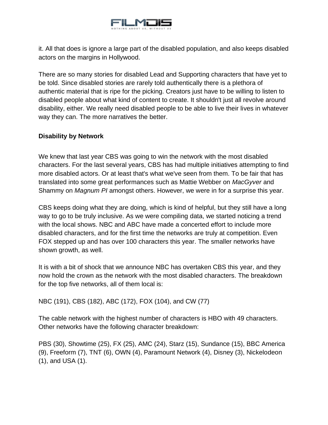

it. All that does is ignore a large part of the disabled population, and also keeps disabled actors on the margins in Hollywood.

There are so many stories for disabled Lead and Supporting characters that have yet to be told. Since disabled stories are rarely told authentically there is a plethora of authentic material that is ripe for the picking. Creators just have to be willing to listen to disabled people about what kind of content to create. It shouldn't just all revolve around disability, either. We really need disabled people to be able to live their lives in whatever way they can. The more narratives the better.

## **Disability by Network**

We knew that last year CBS was going to win the network with the most disabled characters. For the last several years, CBS has had multiple initiatives attempting to find more disabled actors. Or at least that's what we've seen from them. To be fair that has translated into some great performances such as Mattie Webber on *MacGyver* and Shammy on *Magnum PI* amongst others. However, we were in for a surprise this year.

CBS keeps doing what they are doing, which is kind of helpful, but they still have a long way to go to be truly inclusive. As we were compiling data, we started noticing a trend with the local shows. NBC and ABC have made a concerted effort to include more disabled characters, and for the first time the networks are truly at competition. Even FOX stepped up and has over 100 characters this year. The smaller networks have shown growth, as well.

It is with a bit of shock that we announce NBC has overtaken CBS this year, and they now hold the crown as the network with the most disabled characters. The breakdown for the top five networks, all of them local is:

NBC (191), CBS (182), ABC (172), FOX (104), and CW (77)

The cable network with the highest number of characters is HBO with 49 characters. Other networks have the following character breakdown:

PBS (30), Showtime (25), FX (25), AMC (24), Starz (15), Sundance (15), BBC America (9), Freeform (7), TNT (6), OWN (4), Paramount Network (4), Disney (3), Nickelodeon (1), and USA (1).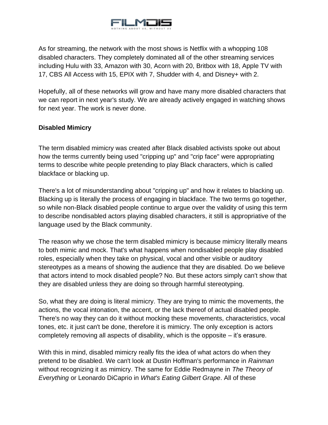

As for streaming, the network with the most shows is Netflix with a whopping 108 disabled characters. They completely dominated all of the other streaming services including Hulu with 33, Amazon with 30, Acorn with 20, Britbox with 18, Apple TV with 17, CBS All Access with 15, EPIX with 7, Shudder with 4, and Disney+ with 2.

Hopefully, all of these networks will grow and have many more disabled characters that we can report in next year's study. We are already actively engaged in watching shows for next year. The work is never done.

## **Disabled Mimicry**

The term disabled mimicry was created after Black disabled activists spoke out about how the terms currently being used "cripping up" and "crip face" were appropriating terms to describe white people pretending to play Black characters, which is called blackface or blacking up.

There's a lot of misunderstanding about "cripping up" and how it relates to blacking up. Blacking up is literally the process of engaging in blackface. The two terms go together, so while non-Black disabled people continue to argue over the validity of using this term to describe nondisabled actors playing disabled characters, it still is appropriative of the language used by the Black community.

The reason why we chose the term disabled mimicry is because mimicry literally means to both mimic and mock. That's what happens when nondisabled people play disabled roles, especially when they take on physical, vocal and other visible or auditory stereotypes as a means of showing the audience that they are disabled. Do we believe that actors intend to mock disabled people? No. But these actors simply can't show that they are disabled unless they are doing so through harmful stereotyping.

So, what they are doing is literal mimicry. They are trying to mimic the movements, the actions, the vocal intonation, the accent, or the lack thereof of actual disabled people. There's no way they can do it without mocking these movements, characteristics, vocal tones, etc. it just can't be done, therefore it is mimicry. The only exception is actors completely removing all aspects of disability, which is the opposite – it's erasure.

With this in mind, disabled mimicry really fits the idea of what actors do when they pretend to be disabled. We can't look at Dustin Hoffman's performance in *Rainman* without recognizing it as mimicry. The same for Eddie Redmayne in *The Theory of Everything* or Leonardo DiCaprio in *What's Eating Gilbert Grape*. All of these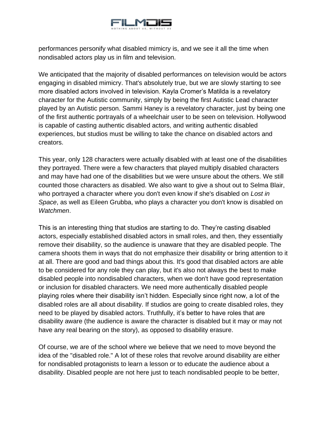

performances personify what disabled mimicry is, and we see it all the time when nondisabled actors play us in film and television.

We anticipated that the majority of disabled performances on television would be actors engaging in disabled mimicry. That's absolutely true, but we are slowly starting to see more disabled actors involved in television. Kayla Cromer's Matilda is a revelatory character for the Autistic community, simply by being the first Autistic Lead character played by an Autistic person. Sammi Haney is a revelatory character, just by being one of the first authentic portrayals of a wheelchair user to be seen on television. Hollywood is capable of casting authentic disabled actors, and writing authentic disabled experiences, but studios must be willing to take the chance on disabled actors and creators.

This year, only 128 characters were actually disabled with at least one of the disabilities they portrayed. There were a few characters that played multiply disabled characters and may have had one of the disabilities but we were unsure about the others. We still counted those characters as disabled. We also want to give a shout out to Selma Blair, who portrayed a character where you don't even know if she's disabled on *Lost in Space*, as well as Eileen Grubba, who plays a character you don't know is disabled on *Watchmen*.

This is an interesting thing that studios are starting to do. They're casting disabled actors, especially established disabled actors in small roles, and then, they essentially remove their disability, so the audience is unaware that they are disabled people. The camera shoots them in ways that do not emphasize their disability or bring attention to it at all. There are good and bad things about this. It's good that disabled actors are able to be considered for any role they can play, but it's also not always the best to make disabled people into nondisabled characters, when we don't have good representation or inclusion for disabled characters. We need more authentically disabled people playing roles where their disability isn't hidden. Especially since right now, a lot of the disabled roles are all about disability. If studios are going to create disabled roles, they need to be played by disabled actors. Truthfully, it's better to have roles that are disability aware (the audience is aware the character is disabled but it may or may not have any real bearing on the story), as opposed to disability erasure.

Of course, we are of the school where we believe that we need to move beyond the idea of the "disabled role." A lot of these roles that revolve around disability are either for nondisabled protagonists to learn a lesson or to educate the audience about a disability. Disabled people are not here just to teach nondisabled people to be better,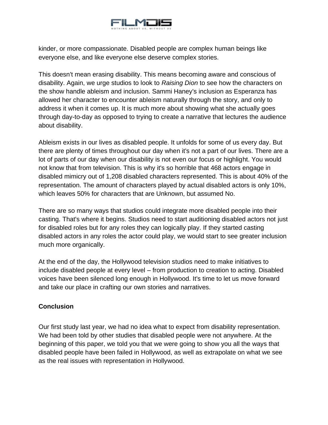

kinder, or more compassionate. Disabled people are complex human beings like everyone else, and like everyone else deserve complex stories.

This doesn't mean erasing disability. This means becoming aware and conscious of disability. Again, we urge studios to look to *Raising Dion* to see how the characters on the show handle ableism and inclusion. Sammi Haney's inclusion as Esperanza has allowed her character to encounter ableism naturally through the story, and only to address it when it comes up. It is much more about showing what she actually goes through day-to-day as opposed to trying to create a narrative that lectures the audience about disability.

Ableism exists in our lives as disabled people. It unfolds for some of us every day. But there are plenty of times throughout our day when it's not a part of our lives. There are a lot of parts of our day when our disability is not even our focus or highlight. You would not know that from television. This is why it's so horrible that 468 actors engage in disabled mimicry out of 1,208 disabled characters represented. This is about 40% of the representation. The amount of characters played by actual disabled actors is only 10%, which leaves 50% for characters that are Unknown, but assumed No.

There are so many ways that studios could integrate more disabled people into their casting. That's where it begins. Studios need to start auditioning disabled actors not just for disabled roles but for any roles they can logically play. If they started casting disabled actors in any roles the actor could play, we would start to see greater inclusion much more organically.

At the end of the day, the Hollywood television studios need to make initiatives to include disabled people at every level – from production to creation to acting. Disabled voices have been silenced long enough in Hollywood. It's time to let us move forward and take our place in crafting our own stories and narratives.

### **Conclusion**

Our first study last year, we had no idea what to expect from disability representation. We had been told by other studies that disabled people were not anywhere. At the beginning of this paper, we told you that we were going to show you all the ways that disabled people have been failed in Hollywood, as well as extrapolate on what we see as the real issues with representation in Hollywood.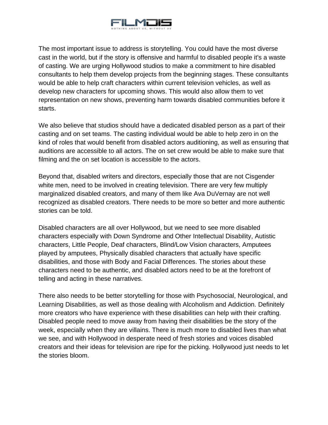

The most important issue to address is storytelling. You could have the most diverse cast in the world, but if the story is offensive and harmful to disabled people it's a waste of casting. We are urging Hollywood studios to make a commitment to hire disabled consultants to help them develop projects from the beginning stages. These consultants would be able to help craft characters within current television vehicles, as well as develop new characters for upcoming shows. This would also allow them to vet representation on new shows, preventing harm towards disabled communities before it starts.

We also believe that studios should have a dedicated disabled person as a part of their casting and on set teams. The casting individual would be able to help zero in on the kind of roles that would benefit from disabled actors auditioning, as well as ensuring that auditions are accessible to all actors. The on set crew would be able to make sure that filming and the on set location is accessible to the actors.

Beyond that, disabled writers and directors, especially those that are not Cisgender white men, need to be involved in creating television. There are very few multiply marginalized disabled creators, and many of them like Ava DuVernay are not well recognized as disabled creators. There needs to be more so better and more authentic stories can be told.

Disabled characters are all over Hollywood, but we need to see more disabled characters especially with Down Syndrome and Other Intellectual Disability, Autistic characters, Little People, Deaf characters, Blind/Low Vision characters, Amputees played by amputees, Physically disabled characters that actually have specific disabilities, and those with Body and Facial Differences. The stories about these characters need to be authentic, and disabled actors need to be at the forefront of telling and acting in these narratives.

There also needs to be better storytelling for those with Psychosocial, Neurological, and Learning Disabilities, as well as those dealing with Alcoholism and Addiction. Definitely more creators who have experience with these disabilities can help with their crafting. Disabled people need to move away from having their disabilities be the story of the week, especially when they are villains. There is much more to disabled lives than what we see, and with Hollywood in desperate need of fresh stories and voices disabled creators and their ideas for television are ripe for the picking. Hollywood just needs to let the stories bloom.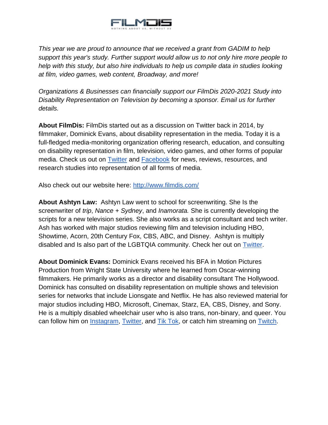

*This year we are proud to announce that we received a grant from GADIM to help support this year's study. Further support would allow us to not only hire more people to help with this study, but also hire individuals to help us compile data in studies looking at film, video games, web content, Broadway, and more!*

*Organizations & Businesses can financially support our FilmDis 2020-2021 Study into Disability Representation on Television by becoming a sponsor. Email us for further details.*

**About FilmDis:** FilmDis started out as a discussion on Twitter back in 2014, by filmmaker, Dominick Evans, about disability representation in the media. Today it is a full-fledged media-monitoring organization offering research, education, and consulting on disability representation in film, television, video games, and other forms of popular media. Check us out on [Twitter](https://twitter.com/TheRealFilmDis) and [Facebook](https://www.facebook.com/FilmDis) for news, reviews, resources, and research studies into representation of all forms of media.

Also check out our website here:<http://www.filmdis.com/>

**About Ashtyn Law:** Ashtyn Law went to school for screenwriting. She Is the screenwriter of *trip*, *Nance + Sydney*, and *Inamorata.* She is currently developing the scripts for a new television series. She also works as a script consultant and tech writer. Ash has worked with major studios reviewing film and television including HBO, Showtime, Acorn, 20th Century Fox, CBS, ABC, and Disney. Ashtyn is multiply disabled and Is also part of the LGBTQIA community. Check her out on [Twitter.](https://twitter.com/AshtynLaw)

**About Dominick Evans:** Dominick Evans received his BFA in Motion Pictures Production from Wright State University where he learned from Oscar-winning filmmakers. He primarily works as a director and disability consultant The Hollywood. Dominick has consulted on disability representation on multiple shows and television series for networks that include Lionsgate and Netflix. He has also reviewed material for major studios including HBO, Microsoft, Cinemax, Starz, EA, CBS, Disney, and Sony. He is a multiply disabled wheelchair user who is also trans, non-binary, and queer. You can follow him on *Instagram, [Twitter,](https://twitter.com/dominickevans) and [Tik Tok,](https://www.tiktok.com/@thecripcrusader) or catch him streaming on [Twitch.](https://www.twitch.tv/dominickevans)*